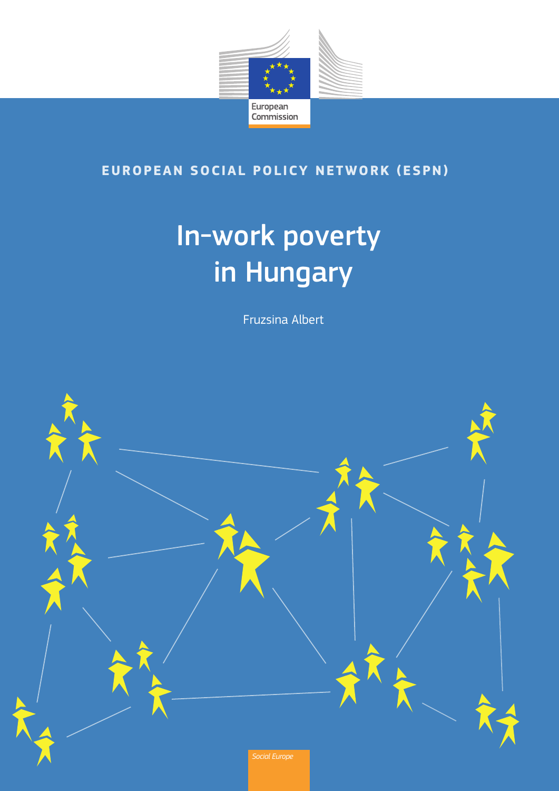

### **EUROPEAN SOCIAL POLICY NETWORK (ESPN)**

# In-work poverty in Hungary

Fruzsina Albert

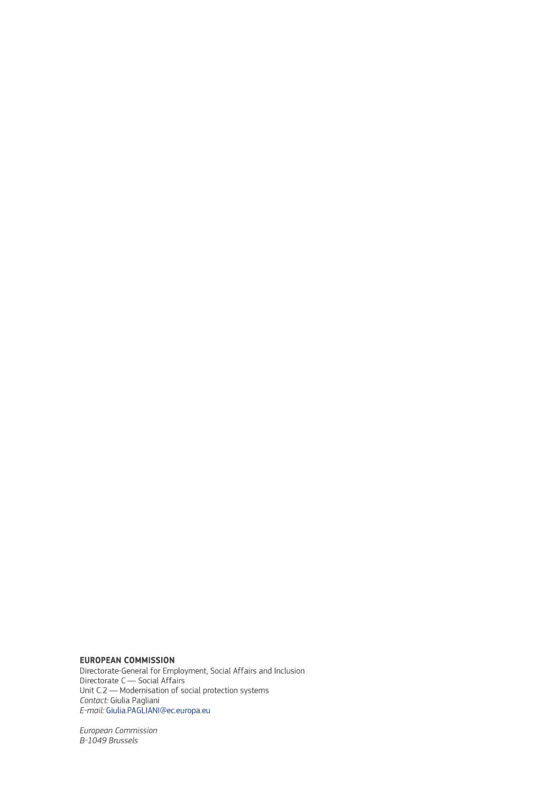#### **EUROPEAN COMMISSION**

Directorate-General for Employment, Social Affairs and Inclusion Directorate General for Employment, Social Artans and<br>Directorate C — Social Affairs<br>Unit C.2 — Modernisation of social protection systems<br>Contact: Giulia Pagliani E-mail: Giulia.PAGLIANI@ec.europa.eu

European Commission<br>B-1049 Brussels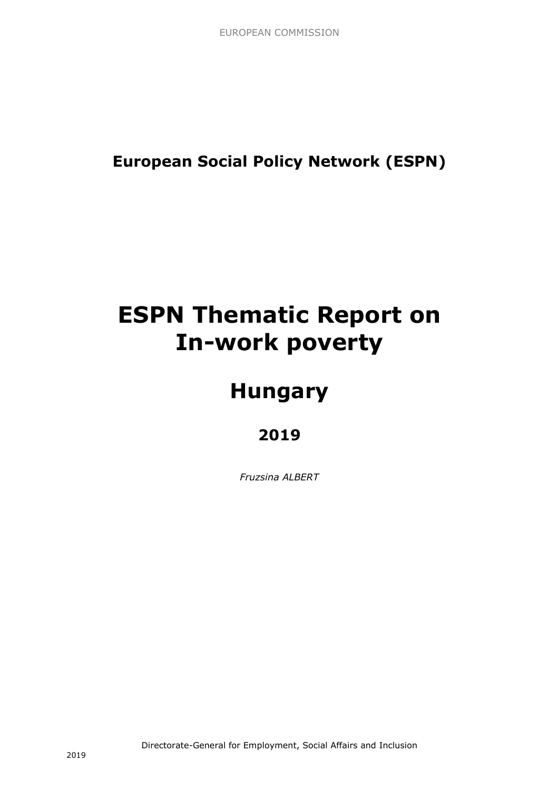**European Social Policy Network (ESPN)**

## **ESPN Thematic Report on In-work poverty**

## **Hungary**

### **2019**

*Fruzsina ALBERT*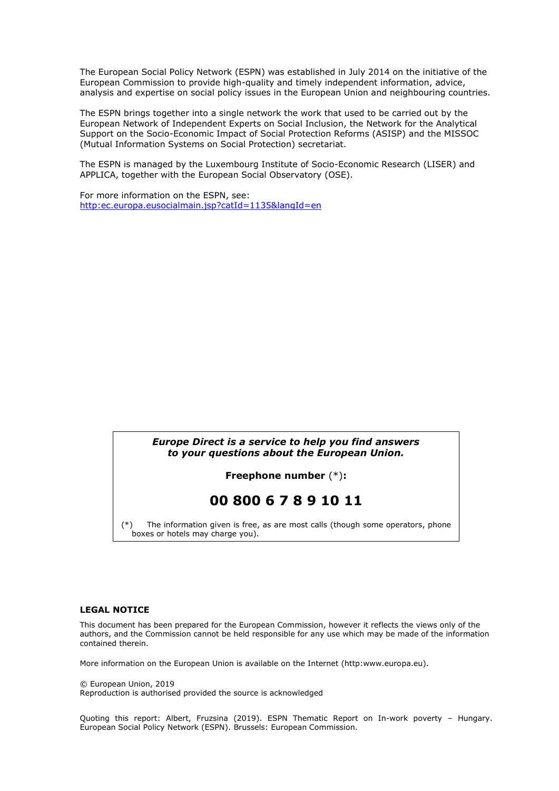The European Social Policy Network (ESPN) was established in July 2014 on the initiative of the European Commission to provide high-quality and timely independent information, advice, analysis and expertise on social policy issues in the European Union and neighbouring countries.

The ESPN brings together into a single network the work that used to be carried out by the European Network of Independent Experts on Social Inclusion, the Network for the Analytical Support on the Socio-Economic Impact of Social Protection Reforms (ASISP) and the MISSOC (Mutual Information Systems on Social Protection) secretariat.

The ESPN is managed by the Luxembourg Institute of Socio-Economic Research (LISER) and APPLICA, together with the European Social Observatory (OSE).

For more information on the ESPN, see: [http:ec.europa.eusocialmain.jsp?catId=1135&langId=en](http://ec.europa.eu/social/main.jsp?catId=1135&langId=en)

#### *Europe Direct is a service to help you find answers to your questions about the European Union.*

**Freephone number** (\*)**:**

#### **00 800 6 7 8 9 10 11**

[\(\\*\)](http://europa.eu.int/citizensrights/signpost/about/index_en.htm#note1#note1) The information given is free, as are most calls (though some operators, phone boxes or hotels may charge you).

#### **LEGAL NOTICE**

This document has been prepared for the European Commission, however it reflects the views only of the authors, and the Commission cannot be held responsible for any use which may be made of the information contained therein.

More information on the European Union is available on the Internet (http:www.europa.eu).

© European Union, 2019

Reproduction is authorised provided the source is acknowledged

Quoting this report: Albert, Fruzsina (2019). ESPN Thematic Report on In-work poverty – Hungary. European Social Policy Network (ESPN). Brussels: European Commission.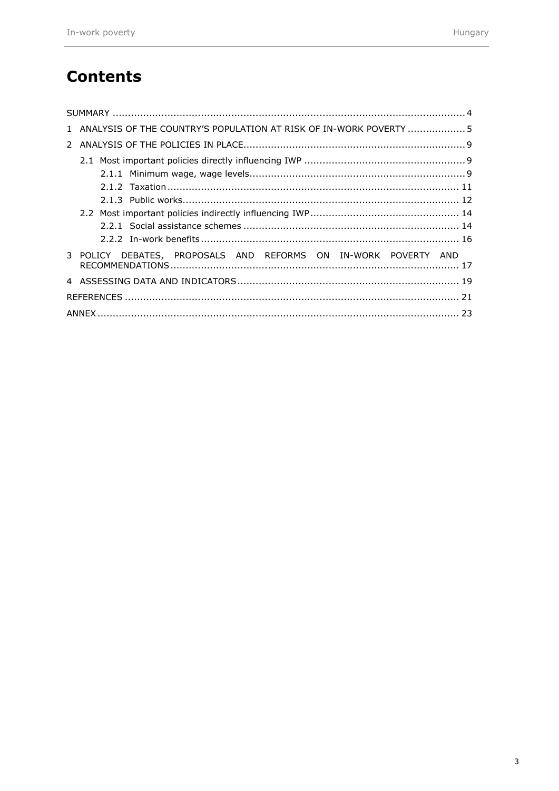### **Contents**

| 1 ANALYSIS OF THE COUNTRY'S POPULATION AT RISK OF IN-WORK POVERTY  5 |  |
|----------------------------------------------------------------------|--|
|                                                                      |  |
|                                                                      |  |
|                                                                      |  |
|                                                                      |  |
|                                                                      |  |
|                                                                      |  |
|                                                                      |  |
|                                                                      |  |
| 3 POLICY DEBATES, PROPOSALS AND REFORMS ON IN-WORK POVERTY AND       |  |
|                                                                      |  |
|                                                                      |  |
|                                                                      |  |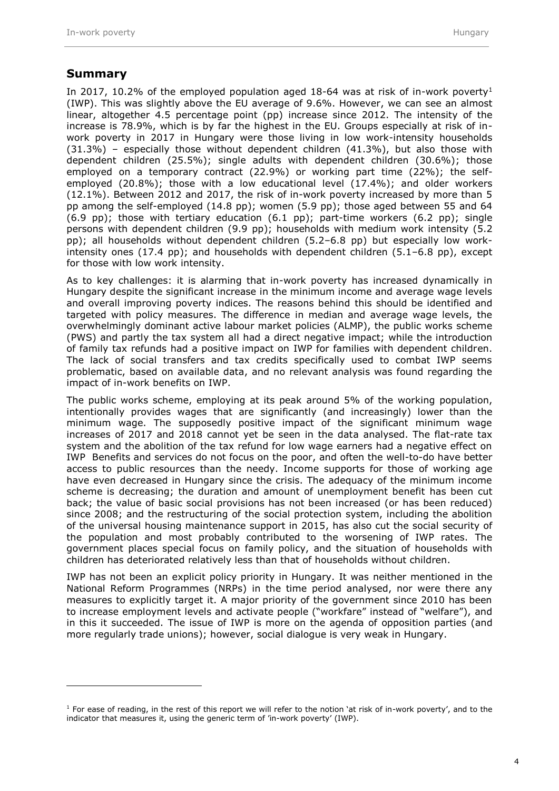#### <span id="page-5-0"></span>**Summary**

 $\overline{a}$ 

In 2017, 10.2% of the employed population aged 18-64 was at risk of in-work poverty<sup>1</sup> (IWP). This was slightly above the EU average of 9.6%. However, we can see an almost linear, altogether 4.5 percentage point (pp) increase since 2012. The intensity of the increase is 78.9%, which is by far the highest in the EU. Groups especially at risk of inwork poverty in 2017 in Hungary were those living in low work-intensity households (31.3%) – especially those without dependent children (41.3%), but also those with dependent children (25.5%); single adults with dependent children (30.6%); those employed on a temporary contract (22.9%) or working part time (22%); the selfemployed (20.8%); those with a low educational level (17.4%); and older workers (12.1%). Between 2012 and 2017, the risk of in-work poverty increased by more than 5 pp among the self-employed (14.8 pp); women (5.9 pp); those aged between 55 and 64 (6.9 pp); those with tertiary education (6.1 pp); part-time workers (6.2 pp); single persons with dependent children (9.9 pp); households with medium work intensity (5.2 pp); all households without dependent children (5.2–6.8 pp) but especially low workintensity ones (17.4 pp); and households with dependent children (5.1–6.8 pp), except for those with low work intensity.

As to key challenges: it is alarming that in-work poverty has increased dynamically in Hungary despite the significant increase in the minimum income and average wage levels and overall improving poverty indices. The reasons behind this should be identified and targeted with policy measures. The difference in median and average wage levels, the overwhelmingly dominant active labour market policies (ALMP), the public works scheme (PWS) and partly the tax system all had a direct negative impact; while the introduction of family tax refunds had a positive impact on IWP for families with dependent children. The lack of social transfers and tax credits specifically used to combat IWP seems problematic, based on available data, and no relevant analysis was found regarding the impact of in-work benefits on IWP.

The public works scheme, employing at its peak around 5% of the working population, intentionally provides wages that are significantly (and increasingly) lower than the minimum wage. The supposedly positive impact of the significant minimum wage increases of 2017 and 2018 cannot yet be seen in the data analysed. The flat-rate tax system and the abolition of the tax refund for low wage earners had a negative effect on IWP Benefits and services do not focus on the poor, and often the well-to-do have better access to public resources than the needy. Income supports for those of working age have even decreased in Hungary since the crisis. The adequacy of the minimum income scheme is decreasing; the duration and amount of unemployment benefit has been cut back; the value of basic social provisions has not been increased (or has been reduced) since 2008; and the restructuring of the social protection system, including the abolition of the universal housing maintenance support in 2015, has also cut the social security of the population and most probably contributed to the worsening of IWP rates. The government places special focus on family policy, and the situation of households with children has deteriorated relatively less than that of households without children.

IWP has not been an explicit policy priority in Hungary. It was neither mentioned in the National Reform Programmes (NRPs) in the time period analysed, nor were there any measures to explicitly target it. A major priority of the government since 2010 has been to increase employment levels and activate people ("workfare" instead of "welfare"), and in this it succeeded. The issue of IWP is more on the agenda of opposition parties (and more regularly trade unions); however, social dialogue is very weak in Hungary.

 $1$  For ease of reading, in the rest of this report we will refer to the notion 'at risk of in-work poverty', and to the indicator that measures it, using the generic term of 'in-work poverty' (IWP).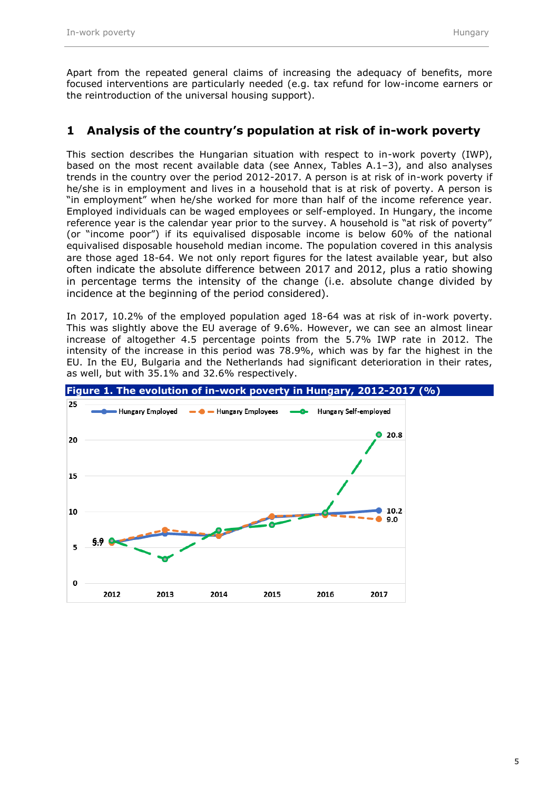Apart from the repeated general claims of increasing the adequacy of benefits, more focused interventions are particularly needed (e.g. tax refund for low-income earners or the reintroduction of the universal housing support).

#### <span id="page-6-0"></span>**1 Analysis of the country's population at risk of in-work poverty**

This section describes the Hungarian situation with respect to in-work poverty (IWP), based on the most recent available data (see Annex, Tables A.1–3), and also analyses trends in the country over the period 2012-2017. A person is at risk of in-work poverty if he/she is in employment and lives in a household that is at risk of poverty. A person is "in employment" when he/she worked for more than half of the income reference year. Employed individuals can be waged employees or self-employed. In Hungary, the income reference year is the calendar year prior to the survey. A household is "at risk of poverty" (or "income poor") if its equivalised disposable income is below 60% of the national equivalised disposable household median income. The population covered in this analysis are those aged 18-64. We not only report figures for the latest available year, but also often indicate the absolute difference between 2017 and 2012, plus a ratio showing in percentage terms the intensity of the change (i.e. absolute change divided by incidence at the beginning of the period considered).

In 2017, 10.2% of the employed population aged 18-64 was at risk of in-work poverty. This was slightly above the EU average of 9.6%. However, we can see an almost linear increase of altogether 4.5 percentage points from the 5.7% IWP rate in 2012. The intensity of the increase in this period was 78.9%, which was by far the highest in the EU. In the EU, Bulgaria and the Netherlands had significant deterioration in their rates, as well, but with 35.1% and 32.6% respectively.

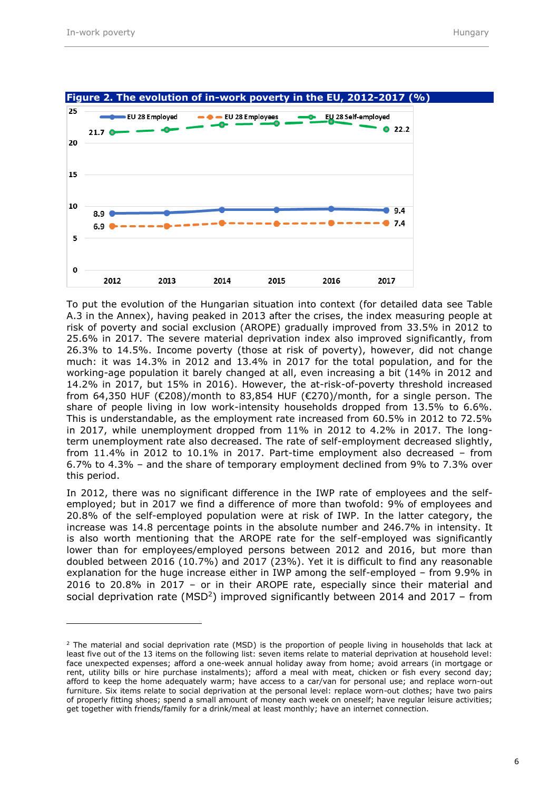

**Figure 2. The evolution of in-work poverty in the EU, 2012-2017 (%)**

To put the evolution of the Hungarian situation into context (for detailed data see Table A.3 in the Annex), having peaked in 2013 after the crises, the index measuring people at risk of poverty and social exclusion (AROPE) gradually improved from 33.5% in 2012 to 25.6% in 2017. The severe material deprivation index also improved significantly, from 26.3% to 14.5%. Income poverty (those at risk of poverty), however, did not change much: it was 14.3% in 2012 and 13.4% in 2017 for the total population, and for the working-age population it barely changed at all, even increasing a bit (14% in 2012 and 14.2% in 2017, but 15% in 2016). However, the at-risk-of-poverty threshold increased from 64,350 HUF (€208)/month to 83,854 HUF (€270)/month, for a single person. The share of people living in low work-intensity households dropped from 13.5% to 6.6%. This is understandable, as the employment rate increased from 60.5% in 2012 to 72.5% in 2017, while unemployment dropped from 11% in 2012 to 4.2% in 2017. The longterm unemployment rate also decreased. The rate of self-employment decreased slightly, from 11.4% in 2012 to 10.1% in 2017. Part-time employment also decreased – from 6.7% to 4.3% – and the share of temporary employment declined from 9% to 7.3% over this period.

In 2012, there was no significant difference in the IWP rate of employees and the selfemployed; but in 2017 we find a difference of more than twofold: 9% of employees and 20.8% of the self-employed population were at risk of IWP. In the latter category, the increase was 14.8 percentage points in the absolute number and 246.7% in intensity. It is also worth mentioning that the AROPE rate for the self-employed was significantly lower than for employees/employed persons between 2012 and 2016, but more than doubled between 2016 (10.7%) and 2017 (23%). Yet it is difficult to find any reasonable explanation for the huge increase either in IWP among the self-employed – from 9.9% in 2016 to 20.8% in 2017 – or in their AROPE rate, especially since their material and social deprivation rate (MSD<sup>2</sup>) improved significantly between 2014 and 2017 – from

<sup>&</sup>lt;sup>2</sup> The material and social deprivation rate (MSD) is the proportion of people living in households that lack at least five out of the 13 items on the following list: seven items relate to material deprivation at household level: face unexpected expenses; afford a one-week annual holiday away from home; avoid arrears (in mortgage or rent, utility bills or hire purchase instalments); afford a meal with meat, chicken or fish every second day; afford to keep the home adequately warm; have access to a car/van for personal use; and replace worn-out furniture. Six items relate to social deprivation at the personal level: replace worn-out clothes; have two pairs of properly fitting shoes; spend a small amount of money each week on oneself; have regular leisure activities; get together with friends/family for a drink/meal at least monthly; have an internet connection.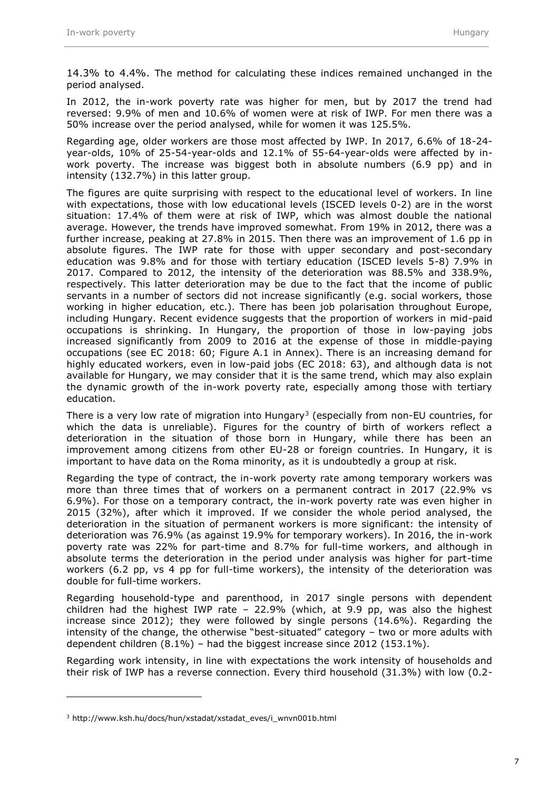14.3% to 4.4%. The method for calculating these indices remained unchanged in the period analysed.

In 2012, the in-work poverty rate was higher for men, but by 2017 the trend had reversed: 9.9% of men and 10.6% of women were at risk of IWP. For men there was a 50% increase over the period analysed, while for women it was 125.5%.

Regarding age, older workers are those most affected by IWP. In 2017, 6.6% of 18-24 year-olds, 10% of 25-54-year-olds and 12.1% of 55-64-year-olds were affected by inwork poverty. The increase was biggest both in absolute numbers (6.9 pp) and in intensity (132.7%) in this latter group.

The figures are quite surprising with respect to the educational level of workers. In line with expectations, those with low educational levels (ISCED levels 0-2) are in the worst situation: 17.4% of them were at risk of IWP, which was almost double the national average. However, the trends have improved somewhat. From 19% in 2012, there was a further increase, peaking at 27.8% in 2015. Then there was an improvement of 1.6 pp in absolute figures. The IWP rate for those with upper secondary and post-secondary education was 9.8% and for those with tertiary education (ISCED levels 5-8) 7.9% in 2017. Compared to 2012, the intensity of the deterioration was 88.5% and 338.9%, respectively. This latter deterioration may be due to the fact that the income of public servants in a number of sectors did not increase significantly (e.g. social workers, those working in higher education, etc.). There has been job polarisation throughout Europe, including Hungary. Recent evidence suggests that the proportion of workers in mid-paid occupations is shrinking. In Hungary, the proportion of those in low-paying jobs increased significantly from 2009 to 2016 at the expense of those in middle-paying occupations (see EC 2018: 60; Figure A.1 in Annex). There is an increasing demand for highly educated workers, even in low-paid jobs (EC 2018: 63), and although data is not available for Hungary, we may consider that it is the same trend, which may also explain the dynamic growth of the in-work poverty rate, especially among those with tertiary education.

There is a very low rate of migration into Hungary<sup>3</sup> (especially from non-EU countries, for which the data is unreliable). Figures for the country of birth of workers reflect a deterioration in the situation of those born in Hungary, while there has been an improvement among citizens from other EU-28 or foreign countries. In Hungary, it is important to have data on the Roma minority, as it is undoubtedly a group at risk.

Regarding the type of contract, the in-work poverty rate among temporary workers was more than three times that of workers on a permanent contract in 2017 (22.9% vs 6.9%). For those on a temporary contract, the in-work poverty rate was even higher in 2015 (32%), after which it improved. If we consider the whole period analysed, the deterioration in the situation of permanent workers is more significant: the intensity of deterioration was 76.9% (as against 19.9% for temporary workers). In 2016, the in-work poverty rate was 22% for part-time and 8.7% for full-time workers, and although in absolute terms the deterioration in the period under analysis was higher for part-time workers (6.2 pp, vs 4 pp for full-time workers), the intensity of the deterioration was double for full-time workers.

Regarding household-type and parenthood, in 2017 single persons with dependent children had the highest IWP rate – 22.9% (which, at 9.9 pp, was also the highest increase since 2012); they were followed by single persons (14.6%). Regarding the intensity of the change, the otherwise "best-situated" category – two or more adults with dependent children (8.1%) – had the biggest increase since 2012 (153.1%).

Regarding work intensity, in line with expectations the work intensity of households and their risk of IWP has a reverse connection. Every third household (31.3%) with low (0.2-

<sup>3</sup> http://www.ksh.hu/docs/hun/xstadat/xstadat\_eves/i\_wnvn001b.html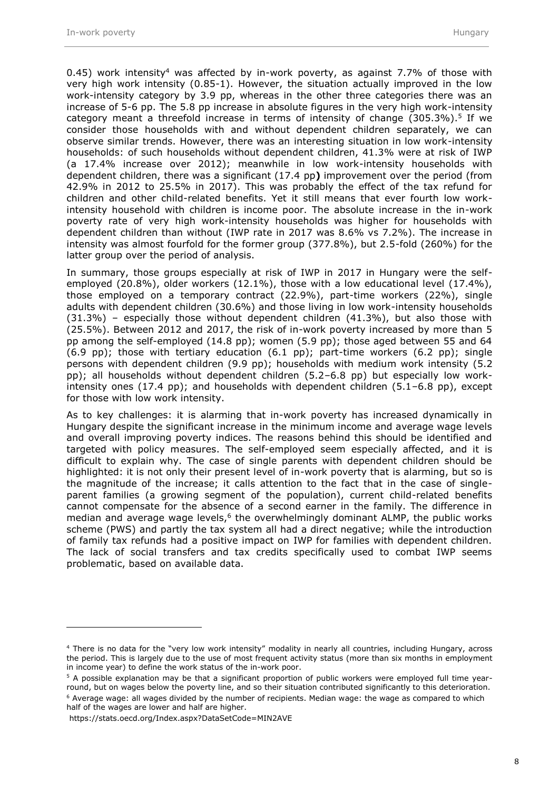0.45) work intensity<sup>4</sup> was affected by in-work poverty, as against 7.7% of those with very high work intensity (0.85-1). However, the situation actually improved in the low work-intensity category by 3.9 pp, whereas in the other three categories there was an increase of 5-6 pp. The 5.8 pp increase in absolute figures in the very high work-intensity category meant a threefold increase in terms of intensity of change  $(305.3\%)$ .<sup>5</sup> If we consider those households with and without dependent children separately, we can observe similar trends. However, there was an interesting situation in low work-intensity households: of such households without dependent children, 41.3% were at risk of IWP (a 17.4% increase over 2012); meanwhile in low work-intensity households with dependent children, there was a significant (17.4 pp**)** improvement over the period (from 42.9% in 2012 to 25.5% in 2017). This was probably the effect of the tax refund for children and other child-related benefits. Yet it still means that ever fourth low workintensity household with children is income poor. The absolute increase in the in-work poverty rate of very high work-intensity households was higher for households with dependent children than without (IWP rate in 2017 was 8.6% vs 7.2%). The increase in intensity was almost fourfold for the former group (377.8%), but 2.5-fold (260%) for the latter group over the period of analysis.

In summary, those groups especially at risk of IWP in 2017 in Hungary were the selfemployed (20.8%), older workers (12.1%), those with a low educational level (17.4%), those employed on a temporary contract (22.9%), part-time workers (22%), single adults with dependent children (30.6%) and those living in low work-intensity households (31.3%) – especially those without dependent children (41.3%), but also those with (25.5%). Between 2012 and 2017, the risk of in-work poverty increased by more than 5 pp among the self-employed (14.8 pp); women (5.9 pp); those aged between 55 and 64  $(6.9 \text{ pp})$ ; those with tertiary education  $(6.1 \text{ pp})$ ; part-time workers  $(6.2 \text{ pp})$ ; single persons with dependent children (9.9 pp); households with medium work intensity (5.2 pp); all households without dependent children (5.2–6.8 pp) but especially low workintensity ones  $(17.4 \text{ pp})$ ; and households with dependent children  $(5.1-6.8 \text{ pp})$ , except for those with low work intensity.

As to key challenges: it is alarming that in-work poverty has increased dynamically in Hungary despite the significant increase in the minimum income and average wage levels and overall improving poverty indices. The reasons behind this should be identified and targeted with policy measures. The self-employed seem especially affected, and it is difficult to explain why. The case of single parents with dependent children should be highlighted: it is not only their present level of in-work poverty that is alarming, but so is the magnitude of the increase; it calls attention to the fact that in the case of singleparent families (a growing segment of the population), current child-related benefits cannot compensate for the absence of a second earner in the family. The difference in median and average wage levels, $6$  the overwhelmingly dominant ALMP, the public works scheme (PWS) and partly the tax system all had a direct negative; while the introduction of family tax refunds had a positive impact on IWP for families with dependent children. The lack of social transfers and tax credits specifically used to combat IWP seems problematic, based on available data.

<sup>4</sup> There is no data for the "very low work intensity" modality in nearly all countries, including Hungary, across the period. This is largely due to the use of most frequent activity status (more than six months in employment in income year) to define the work status of the in-work poor.

<sup>5</sup> A possible explanation may be that a significant proportion of public workers were employed full time yearround, but on wages below the poverty line, and so their situation contributed significantly to this deterioration.

 $6$  Average wage: all wages divided by the number of recipients. Median wage: the wage as compared to which half of the wages are lower and half are higher.

https://stats.oecd.org/Index.aspx?DataSetCode=MIN2AVE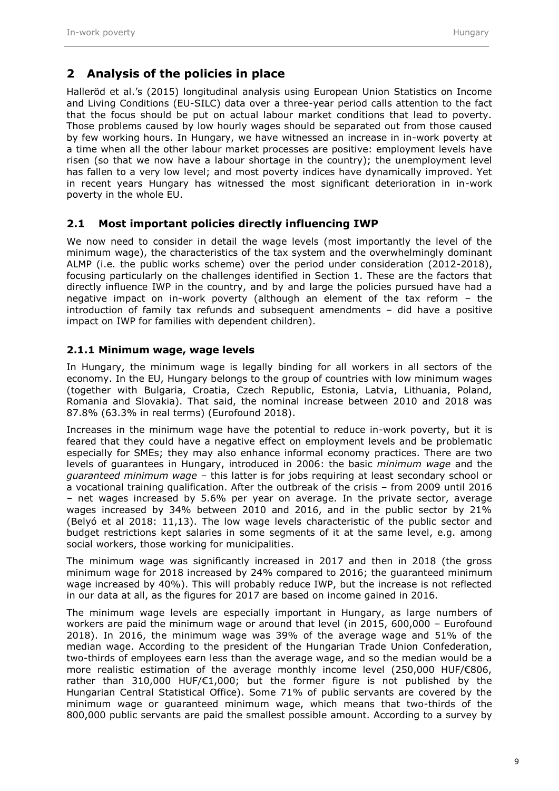#### <span id="page-10-0"></span>**2 Analysis of the policies in place**

Halleröd et al.'s (2015) longitudinal analysis using European Union Statistics on Income and Living Conditions (EU-SILC) data over a three-year period calls attention to the fact that the focus should be put on actual labour market conditions that lead to poverty. Those problems caused by low hourly wages should be separated out from those caused by few working hours. In Hungary, we have witnessed an increase in in-work poverty at a time when all the other labour market processes are positive: employment levels have risen (so that we now have a labour shortage in the country); the unemployment level has fallen to a very low level; and most poverty indices have dynamically improved. Yet in recent years Hungary has witnessed the most significant deterioration in in-work poverty in the whole EU.

#### <span id="page-10-1"></span>**2.1 Most important policies directly influencing IWP**

We now need to consider in detail the wage levels (most importantly the level of the minimum wage), the characteristics of the tax system and the overwhelmingly dominant ALMP (i.e. the public works scheme) over the period under consideration (2012-2018), focusing particularly on the challenges identified in Section 1. These are the factors that directly influence IWP in the country, and by and large the policies pursued have had a negative impact on in-work poverty (although an element of the tax reform – the introduction of family tax refunds and subsequent amendments – did have a positive impact on IWP for families with dependent children).

#### <span id="page-10-2"></span>**2.1.1 Minimum wage, wage levels**

In Hungary, the minimum wage is legally binding for all workers in all sectors of the economy. In the EU, Hungary belongs to the group of countries with low minimum wages (together with Bulgaria, Croatia, Czech Republic, Estonia, Latvia, Lithuania, Poland, Romania and Slovakia). That said, the nominal increase between 2010 and 2018 was 87.8% (63.3% in real terms) (Eurofound 2018).

Increases in the minimum wage have the potential to reduce in-work poverty, but it is feared that they could have a negative effect on employment levels and be problematic especially for SMEs; they may also enhance informal economy practices. There are two levels of guarantees in Hungary, introduced in 2006: the basic *minimum wage* and the *guaranteed minimum wage –* this latter is for jobs requiring at least secondary school or a vocational training qualification. After the outbreak of the crisis – from 2009 until 2016 – net wages increased by 5.6% per year on average. In the private sector, average wages increased by 34% between 2010 and 2016, and in the public sector by 21% (Belyó et al 2018: 11,13). The low wage levels characteristic of the public sector and budget restrictions kept salaries in some segments of it at the same level, e.g. among social workers, those working for municipalities.

The minimum wage was significantly increased in 2017 and then in 2018 (the gross minimum wage for 2018 increased by 24% compared to 2016; the guaranteed minimum wage increased by 40%). This will probably reduce IWP, but the increase is not reflected in our data at all, as the figures for 2017 are based on income gained in 2016.

The minimum wage levels are especially important in Hungary, as large numbers of workers are paid the minimum wage or around that level (in 2015, 600,000 – Eurofound 2018). In 2016, the minimum wage was 39% of the average wage and 51% of the median wage. According to the president of the Hungarian Trade Union Confederation, two-thirds of employees earn less than the average wage, and so the median would be a more realistic estimation of the average monthly income level (250,000 HUF/€806, rather than 310,000 HUF/€1,000; but the former figure is not published by the Hungarian Central Statistical Office). Some 71% of public servants are covered by the minimum wage or guaranteed minimum wage, which means that two-thirds of the 800,000 public servants are paid the smallest possible amount. According to a survey by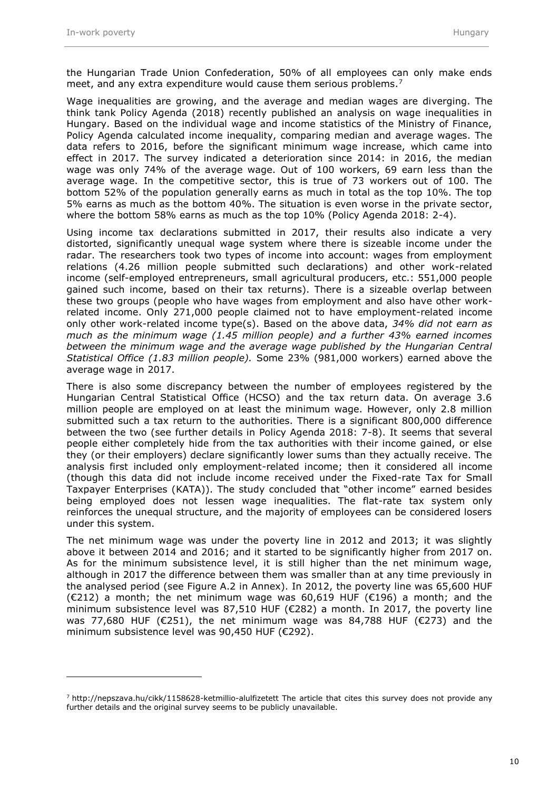the Hungarian Trade Union Confederation, 50% of all employees can only make ends meet, and any extra expenditure would cause them serious problems.<sup>7</sup>

Wage inequalities are growing, and the average and median wages are diverging. The think tank Policy Agenda (2018) recently published an analysis on wage inequalities in Hungary. Based on the individual wage and income statistics of the Ministry of Finance, Policy Agenda calculated income inequality, comparing median and average wages. The data refers to 2016, before the significant minimum wage increase, which came into effect in 2017. The survey indicated a deterioration since 2014: in 2016, the median wage was only 74% of the average wage. Out of 100 workers, 69 earn less than the average wage. In the competitive sector, this is true of 73 workers out of 100. The bottom 52% of the population generally earns as much in total as the top 10%. The top 5% earns as much as the bottom 40%. The situation is even worse in the private sector, where the bottom 58% earns as much as the top 10% (Policy Agenda 2018: 2-4).

Using income tax declarations submitted in 2017, their results also indicate a very distorted, significantly unequal wage system where there is sizeable income under the radar. The researchers took two types of income into account: wages from employment relations (4.26 million people submitted such declarations) and other work-related income (self-employed entrepreneurs, small agricultural producers, etc.: 551,000 people gained such income, based on their tax returns). There is a sizeable overlap between these two groups (people who have wages from employment and also have other workrelated income. Only 271,000 people claimed not to have employment-related income only other work-related income type(s). Based on the above data, *34% did not earn as much as the minimum wage (1.45 million people) and a further 43% earned incomes between the minimum wage and the average wage published by the Hungarian Central Statistical Office (1.83 million people).* Some 23% (981,000 workers) earned above the average wage in 2017.

There is also some discrepancy between the number of employees registered by the Hungarian Central Statistical Office (HCSO) and the tax return data. On average 3.6 million people are employed on at least the minimum wage. However, only 2.8 million submitted such a tax return to the authorities. There is a significant 800,000 difference between the two (see further details in Policy Agenda 2018: 7-8). It seems that several people either completely hide from the tax authorities with their income gained, or else they (or their employers) declare significantly lower sums than they actually receive. The analysis first included only employment-related income; then it considered all income (though this data did not include income received under the Fixed-rate Tax for Small Taxpayer Enterprises (KATA)). The study concluded that "other income" earned besides being employed does not lessen wage inequalities. The flat-rate tax system only reinforces the unequal structure, and the majority of employees can be considered losers under this system.

The net minimum wage was under the poverty line in 2012 and 2013; it was slightly above it between 2014 and 2016; and it started to be significantly higher from 2017 on. As for the minimum subsistence level, it is still higher than the net minimum wage, although in 2017 the difference between them was smaller than at any time previously in the analysed period (see Figure A.2 in Annex). In 2012, the poverty line was 65,600 HUF  $(E212)$  a month; the net minimum wage was 60,619 HUF (€196) a month; and the minimum subsistence level was 87,510 HUF (€282) a month. In 2017, the poverty line was 77,680 HUF ( $\epsilon$ 251), the net minimum wage was 84,788 HUF ( $\epsilon$ 273) and the minimum subsistence level was 90,450 HUF (€292).

 $^7$  <http://nepszava.hu/cikk/1158628-ketmillio-alulfizetett> The article that cites this survey does not provide any further details and the original survey seems to be publicly unavailable.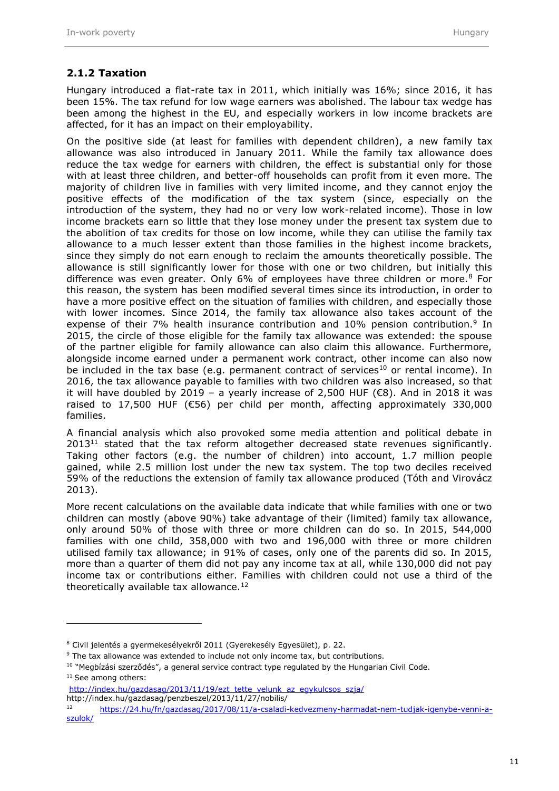#### <span id="page-12-0"></span>**2.1.2 Taxation**

Hungary introduced a flat-rate tax in 2011, which initially was 16%; since 2016, it has been 15%. The tax refund for low wage earners was abolished. The labour tax wedge has been among the highest in the EU, and especially workers in low income brackets are affected, for it has an impact on their employability.

On the positive side (at least for families with dependent children), a new family tax allowance was also introduced in January 2011. While the family tax allowance does reduce the tax wedge for earners with children, the effect is substantial only for those with at least three children, and better-off households can profit from it even more. The majority of children live in families with very limited income, and they cannot enjoy the positive effects of the modification of the tax system (since, especially on the introduction of the system, they had no or very low work-related income). Those in low income brackets earn so little that they lose money under the present tax system due to the abolition of tax credits for those on low income, while they can utilise the family tax allowance to a much lesser extent than those families in the highest income brackets, since they simply do not earn enough to reclaim the amounts theoretically possible. The allowance is still significantly lower for those with one or two children, but initially this difference was even greater. Only  $6\%$  of employees have three children or more.<sup>8</sup> For this reason, the system has been modified several times since its introduction, in order to have a more positive effect on the situation of families with children, and especially those with lower incomes. Since 2014, the family tax allowance also takes account of the expense of their 7% health insurance contribution and 10% pension contribution.<sup>9</sup> In 2015, the circle of those eligible for the family tax allowance was extended: the spouse of the partner eligible for family allowance can also claim this allowance. Furthermore, alongside income earned under a permanent work contract, other income can also now be included in the tax base (e.g. permanent contract of services<sup>10</sup> or rental income). In 2016, the tax allowance payable to families with two children was also increased, so that it will have doubled by 2019 – a yearly increase of 2,500 HUF (€8). And in 2018 it was raised to 17,500 HUF ( $\epsilon$ 56) per child per month, affecting approximately 330,000 families.

A financial analysis which also provoked some media attention and political debate in  $2013<sup>11</sup>$  stated that the tax reform altogether decreased state revenues significantly. Taking other factors (e.g. the number of children) into account, 1.7 million people gained, while 2.5 million lost under the new tax system. The top two deciles received 59% of the reductions the extension of family tax allowance produced (Tóth and Virovácz 2013).

More recent calculations on the available data indicate that while families with one or two children can mostly (above 90%) take advantage of their (limited) family tax allowance, only around 50% of those with three or more children can do so. In 2015, 544,000 families with one child, 358,000 with two and 196,000 with three or more children utilised family tax allowance; in 91% of cases, only one of the parents did so. In 2015, more than a quarter of them did not pay any income tax at all, while 130,000 did not pay income tax or contributions either. Families with children could not use a third of the theoretically available tax allowance.<sup>12</sup>

<sup>8</sup> Civil jelentés a gyermekesélyekről 2011 (Gyerekesély Egyesület), p. 22.

<sup>&</sup>lt;sup>9</sup> The tax allowance was extended to include not only income tax, but contributions.

<sup>&</sup>lt;sup>10</sup> "Megbízási szerződés", a general service contract type regulated by the Hungarian Civil Code.

<sup>11</sup> See among others:

[http://index.hu/gazdasag/2013/11/19/ezt\\_tette\\_velunk\\_az\\_egykulcsos\\_szja/](http://index.hu/gazdasag/2013/11/19/ezt_tette_velunk_az_egykulcsos_szja/) <http://index.hu/gazdasag/penzbeszel/2013/11/27/nobilis/>

<sup>12</sup> [https://24.hu/fn/gazdasag/2017/08/11/a-csaladi-kedvezmeny-harmadat-nem-tudjak-igenybe-venni-a](https://24.hu/fn/gazdasag/2017/08/11/a-csaladi-kedvezmeny-harmadat-nem-tudjak-igenybe-venni-a-szulok/)[szulok/](https://24.hu/fn/gazdasag/2017/08/11/a-csaladi-kedvezmeny-harmadat-nem-tudjak-igenybe-venni-a-szulok/)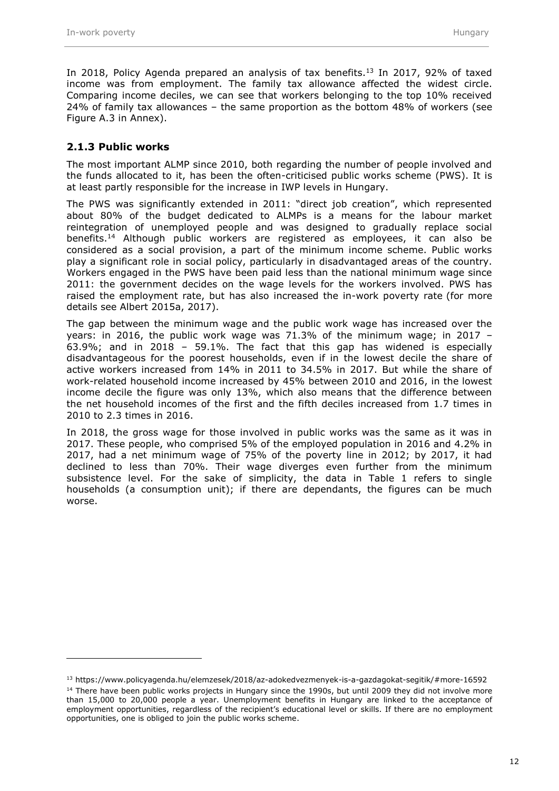In 2018, Policy Agenda prepared an analysis of tax benefits.<sup>13</sup> In 2017, 92% of taxed income was from employment. The family tax allowance affected the widest circle. Comparing income deciles, we can see that workers belonging to the top 10% received 24% of family tax allowances – the same proportion as the bottom 48% of workers (see Figure A.3 in Annex).

#### <span id="page-13-0"></span>**2.1.3 Public works**

 $\overline{a}$ 

The most important ALMP since 2010, both regarding the number of people involved and the funds allocated to it, has been the often-criticised public works scheme (PWS). It is at least partly responsible for the increase in IWP levels in Hungary.

The PWS was significantly extended in 2011: "direct job creation", which represented about 80% of the budget dedicated to ALMPs is a means for the labour market reintegration of unemployed people and was designed to gradually replace social benefits.<sup>14</sup> Although public workers are registered as employees, it can also be considered as a social provision, a part of the minimum income scheme. Public works play a significant role in social policy, particularly in disadvantaged areas of the country. Workers engaged in the PWS have been paid less than the national minimum wage since 2011: the government decides on the wage levels for the workers involved. PWS has raised the employment rate, but has also increased the in-work poverty rate (for more details see Albert 2015a, 2017).

The gap between the minimum wage and the public work wage has increased over the years: in 2016, the public work wage was 71.3% of the minimum wage; in 2017 – 63.9%; and in 2018 – 59.1%. The fact that this gap has widened is especially disadvantageous for the poorest households, even if in the lowest decile the share of active workers increased from 14% in 2011 to 34.5% in 2017. But while the share of work-related household income increased by 45% between 2010 and 2016, in the lowest income decile the figure was only 13%, which also means that the difference between the net household incomes of the first and the fifth deciles increased from 1.7 times in 2010 to 2.3 times in 2016.

In 2018, the gross wage for those involved in public works was the same as it was in 2017. These people, who comprised 5% of the employed population in 2016 and 4.2% in 2017, had a net minimum wage of 75% of the poverty line in 2012; by 2017, it had declined to less than 70%. Their wage diverges even further from the minimum subsistence level. For the sake of simplicity, the data in Table 1 refers to single households (a consumption unit); if there are dependants, the figures can be much worse.

<sup>13</sup> https://www.policyagenda.hu/elemzesek/2018/az-adokedvezmenyek-is-a-gazdagokat-segitik/#more-16592 <sup>14</sup> There have been public works projects in Hungary since the 1990s, but until 2009 they did not involve more than 15,000 to 20,000 people a year. Unemployment benefits in Hungary are linked to the acceptance of employment opportunities, regardless of the recipient's educational level or skills. If there are no employment opportunities, one is obliged to join the public works scheme.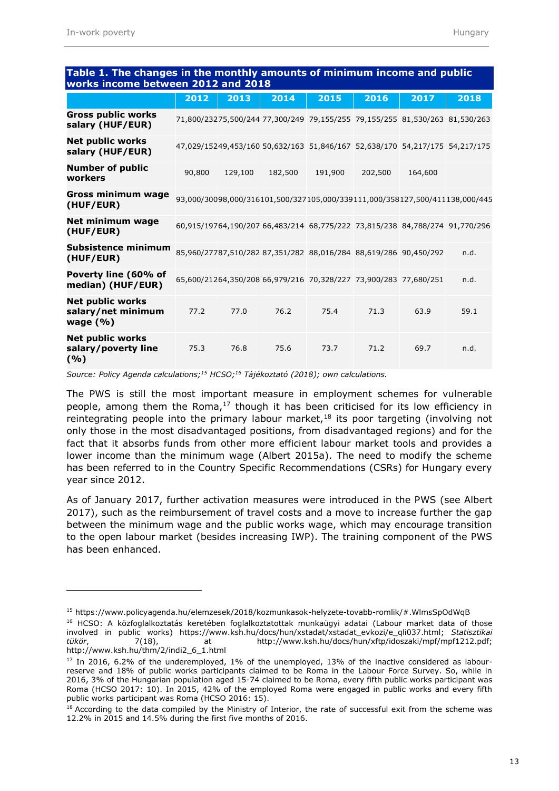| works income between 2012 and 2018                           |        |         |         |         |                                                                             |         |      |  |  |  |
|--------------------------------------------------------------|--------|---------|---------|---------|-----------------------------------------------------------------------------|---------|------|--|--|--|
|                                                              | 2012   | 2013    | 2014    | 2015    | 2016                                                                        | 2017    | 2018 |  |  |  |
| <b>Gross public works</b><br>salary (HUF/EUR)                |        |         |         |         | 71,800/23275,500/244 77,300/249 79,155/255 79,155/255 81,530/263 81,530/263 |         |      |  |  |  |
| <b>Net public works</b><br>salary (HUF/EUR)                  |        |         |         |         | 47,029/15249,453/160 50,632/163 51,846/167 52,638/170 54,217/175 54,217/175 |         |      |  |  |  |
| <b>Number of public</b><br>workers                           | 90,800 | 129,100 | 182,500 | 191,900 | 202,500                                                                     | 164,600 |      |  |  |  |
| <b>Gross minimum wage</b><br>(HUF/EUR)                       |        |         |         |         | 93,000/30098,000/316101,500/327105,000/339111,000/358127,500/411138,000/445 |         |      |  |  |  |
| Net minimum wage<br>(HUF/EUR)                                |        |         |         |         | 60,915/19764,190/207 66,483/214 68,775/222 73,815/238 84,788/274 91,770/296 |         |      |  |  |  |
| <b>Subsistence minimum</b><br>(HUF/EUR)                      |        |         |         |         | 85,960/27787,510/282 87,351/282 88,016/284 88,619/286 90,450/292            |         | n.d. |  |  |  |
| Poverty line (60% of<br>median) (HUF/EUR)                    |        |         |         |         | 65,600/21264,350/208 66,979/216 70,328/227 73,900/283 77,680/251            |         | n.d. |  |  |  |
| <b>Net public works</b><br>salary/net minimum<br>wage $(\%)$ | 77.2   | 77.0    | 76.2    | 75.4    | 71.3                                                                        | 63.9    | 59.1 |  |  |  |
| <b>Net public works</b><br>salary/poverty line<br>( %)       | 75.3   | 76.8    | 75.6    | 73.7    | 71.2                                                                        | 69.7    | n.d. |  |  |  |

## **Table 1. The changes in the monthly amounts of minimum income and public**

*Source: Policy Agenda calculations;<sup>15</sup> HCSO;<sup>16</sup> Tájékoztató (2018); own calculations.*

The PWS is still the most important measure in employment schemes for vulnerable people, among them the Roma, $17$  though it has been criticised for its low efficiency in reintegrating people into the primary labour market, $18$  its poor targeting (involving not only those in the most disadvantaged positions, from disadvantaged regions) and for the fact that it absorbs funds from other more efficient labour market tools and provides a lower income than the minimum wage (Albert 2015a). The need to modify the scheme has been referred to in the Country Specific Recommendations (CSRs) for Hungary every year since 2012.

As of January 2017, further activation measures were introduced in the PWS (see Albert 2017), such as the reimbursement of travel costs and a move to increase further the gap between the minimum wage and the public works wage, which may encourage transition to the open labour market (besides increasing IWP). The training component of the PWS has been enhanced.

<sup>15</sup> <https://www.policyagenda.hu/elemzesek/2018/kozmunkasok-helyzete-tovabb-romlik/#.WlmsSpOdWqB>

<sup>16</sup> HCSO: A közfoglalkoztatás keretében foglalkoztatottak munkaügyi adatai (Labour market data of those involved in public works) https://www.ksh.hu/docs/hun/xstadat/xstadat\_evkozi/e\_qli037.html; *Statisztikai tükör*, 7(18), at http://www.ksh.hu/docs/hun/xftp/idoszaki/mpf/mpf1212.pdf; [http://www.ksh.hu/thm/2/indi2\\_6\\_1.html](http://www.ksh.hu/thm/2/indi2_6_1.html)

 $17$  In 2016, 6.2% of the underemployed, 1% of the unemployed, 13% of the inactive considered as labourreserve and 18% of public works participants claimed to be Roma in the Labour Force Survey. So, while in 2016, 3% of the Hungarian population aged 15-74 claimed to be Roma, every fifth public works participant was Roma (HCSO 2017: 10). In 2015, 42% of the employed Roma were engaged in public works and every fifth public works participant was Roma (HCSO 2016: 15).

<sup>&</sup>lt;sup>18</sup> According to the data compiled by the Ministry of Interior, the rate of successful exit from the scheme was 12.2% in 2015 and 14.5% during the first five months of 2016.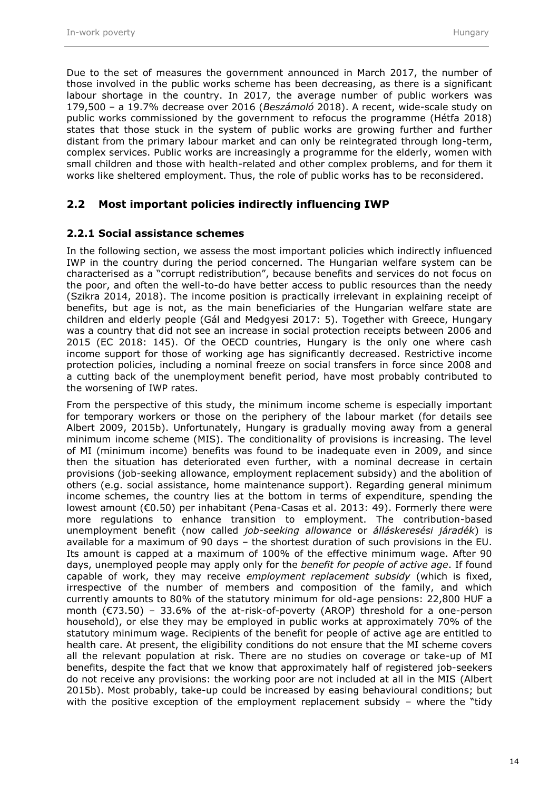Due to the set of measures the government announced in March 2017, the number of those involved in the public works scheme has been decreasing, as there is a significant labour shortage in the country. In 2017, the average number of public workers was 179,500 – a 19.7% decrease over 2016 (*Beszámoló* 2018). A recent, wide-scale study on public works commissioned by the government to refocus the programme (Hétfa 2018) states that those stuck in the system of public works are growing further and further distant from the primary labour market and can only be reintegrated through long-term, complex services. Public works are increasingly a programme for the elderly, women with small children and those with health-related and other complex problems, and for them it works like sheltered employment. Thus, the role of public works has to be reconsidered.

#### <span id="page-15-0"></span>**2.2 Most important policies indirectly influencing IWP**

#### <span id="page-15-1"></span>**2.2.1 Social assistance schemes**

In the following section, we assess the most important policies which indirectly influenced IWP in the country during the period concerned. The Hungarian welfare system can be characterised as a "corrupt redistribution", because benefits and services do not focus on the poor, and often the well-to-do have better access to public resources than the needy (Szikra 2014, 2018). The income position is practically irrelevant in explaining receipt of benefits, but age is not, as the main beneficiaries of the Hungarian welfare state are children and elderly people (Gál and Medgyesi 2017: 5). Together with Greece, Hungary was a country that did not see an increase in social protection receipts between 2006 and 2015 (EC 2018: 145). Of the OECD countries, Hungary is the only one where cash income support for those of working age has significantly decreased. Restrictive income protection policies, including a nominal freeze on social transfers in force since 2008 and a cutting back of the unemployment benefit period, have most probably contributed to the worsening of IWP rates.

From the perspective of this study, the minimum income scheme is especially important for temporary workers or those on the periphery of the labour market (for details see Albert 2009, 2015b). Unfortunately, Hungary is gradually moving away from a general minimum income scheme (MIS). The conditionality of provisions is increasing. The level of MI (minimum income) benefits was found to be inadequate even in 2009, and since then the situation has deteriorated even further, with a nominal decrease in certain provisions (job-seeking allowance, employment replacement subsidy) and the abolition of others (e.g. social assistance, home maintenance support). Regarding general minimum income schemes, the country lies at the bottom in terms of expenditure, spending the lowest amount (€0.50) per inhabitant (Pena-Casas et al. 2013: 49). Formerly there were more regulations to enhance transition to employment. The contribution-based unemployment benefit (now called *job-seeking allowance* or *álláskeresési járadék*) is available for a maximum of 90 days – the shortest duration of such provisions in the EU. Its amount is capped at a maximum of 100% of the effective minimum wage. After 90 days, unemployed people may apply only for the *benefit for people of active age*. If found capable of work, they may receive *employment replacement subsidy* (which is fixed, irrespective of the number of members and composition of the family, and which currently amounts to 80% of the statutory minimum for old-age pensions: 22,800 HUF a month (€73.50) – 33.6% of the at-risk-of-poverty (AROP) threshold for a one-person household), or else they may be employed in public works at approximately 70% of the statutory minimum wage. Recipients of the benefit for people of active age are entitled to health care. At present, the eligibility conditions do not ensure that the MI scheme covers all the relevant population at risk. There are no studies on coverage or take-up of MI benefits, despite the fact that we know that approximately half of registered job-seekers do not receive any provisions: the working poor are not included at all in the MIS (Albert 2015b). Most probably, take-up could be increased by easing behavioural conditions; but with the positive exception of the employment replacement subsidy – where the "tidy"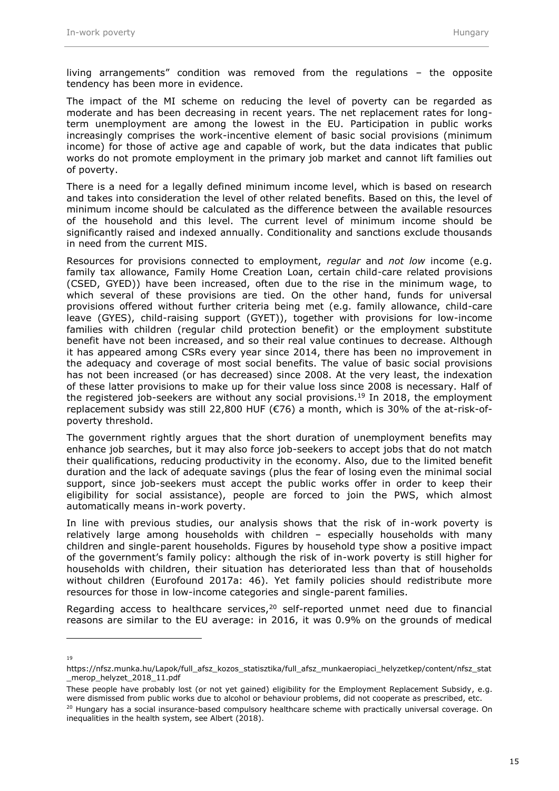living arrangements" condition was removed from the regulations – the opposite tendency has been more in evidence.

The impact of the MI scheme on reducing the level of poverty can be regarded as moderate and has been decreasing in recent years. The net replacement rates for longterm unemployment are among the lowest in the EU. Participation in public works increasingly comprises the work-incentive element of basic social provisions (minimum income) for those of active age and capable of work, but the data indicates that public works do not promote employment in the primary job market and cannot lift families out of poverty.

There is a need for a legally defined minimum income level, which is based on research and takes into consideration the level of other related benefits. Based on this, the level of minimum income should be calculated as the difference between the available resources of the household and this level. The current level of minimum income should be significantly raised and indexed annually. Conditionality and sanctions exclude thousands in need from the current MIS.

Resources for provisions connected to employment, *regular* and *not low* income (e.g. family tax allowance, Family Home Creation Loan, certain child-care related provisions (CSED, GYED)) have been increased, often due to the rise in the minimum wage, to which several of these provisions are tied. On the other hand, funds for universal provisions offered without further criteria being met (e.g. family allowance, child-care leave (GYES), child-raising support (GYET)), together with provisions for low-income families with children (regular child protection benefit) or the employment substitute benefit have not been increased, and so their real value continues to decrease. Although it has appeared among CSRs every year since 2014, there has been no improvement in the adequacy and coverage of most social benefits. The value of basic social provisions has not been increased (or has decreased) since 2008. At the very least, the indexation of these latter provisions to make up for their value loss since 2008 is necessary. Half of the registered job-seekers are without any social provisions.<sup>19</sup> In 2018, the employment replacement subsidy was still 22,800 HUF (€76) a month, which is 30% of the at-risk-ofpoverty threshold.

The government rightly argues that the short duration of unemployment benefits may enhance job searches, but it may also force job-seekers to accept jobs that do not match their qualifications, reducing productivity in the economy. Also, due to the limited benefit duration and the lack of adequate savings (plus the fear of losing even the minimal social support, since job-seekers must accept the public works offer in order to keep their eligibility for social assistance), people are forced to join the PWS, which almost automatically means in-work poverty.

In line with previous studies, our analysis shows that the risk of in-work poverty is relatively large among households with children – especially households with many children and single-parent households. Figures by household type show a positive impact of the government's family policy: although the risk of in-work poverty is still higher for households with children, their situation has deteriorated less than that of households without children (Eurofound 2017a: 46). Yet family policies should redistribute more resources for those in low-income categories and single-parent families.

Regarding access to healthcare services, $20$  self-reported unmet need due to financial reasons are similar to the EU average: in 2016, it was 0.9% on the grounds of medical

<sup>19</sup>

https://nfsz.munka.hu/Lapok/full\_afsz\_kozos\_statisztika/full\_afsz\_munkaeropiaci\_helyzetkep/content/nfsz\_stat merop\_helyzet\_2018\_11.pdf

These people have probably lost (or not yet gained) eligibility for the Employment Replacement Subsidy, e.g. were dismissed from public works due to alcohol or behaviour problems, did not cooperate as prescribed, etc.

<sup>&</sup>lt;sup>20</sup> Hungary has a social insurance-based compulsory healthcare scheme with practically universal coverage. On inequalities in the health system, see Albert (2018).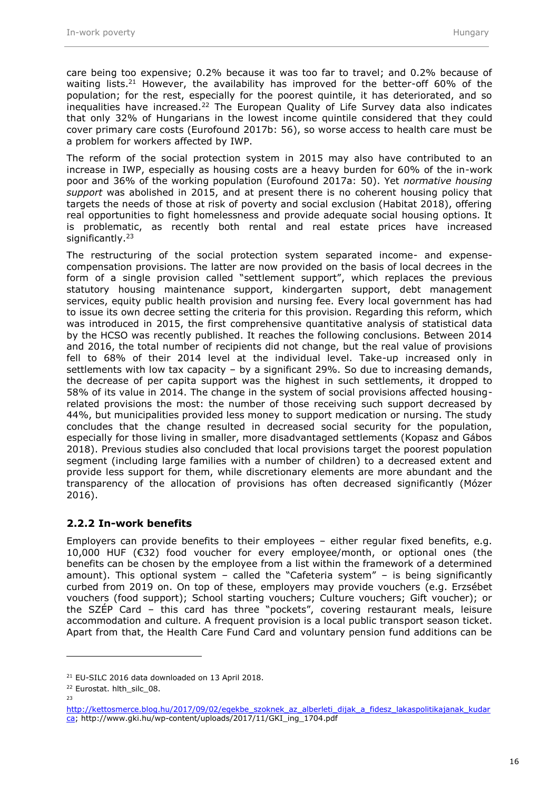care being too expensive; 0.2% because it was too far to travel; and 0.2% because of waiting lists.<sup>21</sup> However, the availability has improved for the better-off 60% of the population; for the rest, especially for the poorest quintile, it has deteriorated, and so inequalities have increased. $22$  The European Quality of Life Survey data also indicates that only 32% of Hungarians in the lowest income quintile considered that they could cover primary care costs (Eurofound [2017b](https://www.ncbi.nlm.nih.gov/books/NBK447692/): 56), so worse access to health care must be a problem for workers affected by IWP.

The reform of the social protection system in 2015 may also have contributed to an increase in IWP, especially as housing costs are a heavy burden for 60% of the in-work poor and 36% of the working population (Eurofound 2017a: 50). Yet *normative housing support* was abolished in 2015, and at present there is no coherent housing policy that targets the needs of those at risk of poverty and social exclusion (Habitat 2018), offering real opportunities to fight homelessness and provide adequate social housing options. It is problematic, as recently both rental and real estate prices have increased significantly.<sup>23</sup>

The restructuring of the social protection system separated income- and expensecompensation provisions. The latter are now provided on the basis of local decrees in the form of a single provision called "settlement support", which replaces the previous statutory housing maintenance support, kindergarten support, debt management services, equity public health provision and nursing fee. Every local government has had to issue its own decree setting the criteria for this provision. Regarding this reform, which was introduced in 2015, the first comprehensive quantitative analysis of statistical data by the HCSO was recently published. It reaches the following conclusions. Between 2014 and 2016, the total number of recipients did not change, but the real value of provisions fell to 68% of their 2014 level at the individual level. Take-up increased only in settlements with low tax capacity – by a significant 29%. So due to increasing demands, the decrease of per capita support was the highest in such settlements, it dropped to 58% of its value in 2014. The change in the system of social provisions affected housingrelated provisions the most: the number of those receiving such support decreased by 44%, but municipalities provided less money to support medication or nursing. The study concludes that the change resulted in decreased social security for the population, especially for those living in smaller, more disadvantaged settlements (Kopasz and Gábos 2018). Previous studies also concluded that local provisions target the poorest population segment (including large families with a number of children) to a decreased extent and provide less support for them, while discretionary elements are more abundant and the transparency of the allocation of provisions has often decreased significantly (Mózer 2016).

#### <span id="page-17-0"></span>**2.2.2 In-work benefits**

Employers can provide benefits to their employees – either regular fixed benefits, e.g. 10,000 HUF (€32) food voucher for every employee/month, or optional ones (the benefits can be chosen by the employee from a list within the framework of a determined amount). This optional system – called the "Cafeteria system" – is being significantly curbed from 2019 on. On top of these, employers may provide vouchers (e.g. Erzsébet vouchers (food support); School starting vouchers; Culture vouchers; Gift voucher); or the SZÉP Card – this card has three "pockets", covering restaurant meals, leisure accommodation and culture. A frequent provision is a local public transport season ticket. Apart from that, the Health Care Fund Card and voluntary pension fund additions can be

<sup>21</sup> EU-SILC 2016 data downloaded on 13 April 2018.

<sup>&</sup>lt;sup>22</sup> Eurostat. hlth\_silc\_08.

<sup>23</sup>

[http://kettosmerce.blog.hu/2017/09/02/egekbe\\_szoknek\\_az\\_alberleti\\_dijak\\_a\\_fidesz\\_lakaspolitikajanak\\_kudar](http://kettosmerce.blog.hu/2017/09/02/egekbe_szoknek_az_alberleti_dijak_a_fidesz_lakaspolitikajanak_kudarca) [ca;](http://kettosmerce.blog.hu/2017/09/02/egekbe_szoknek_az_alberleti_dijak_a_fidesz_lakaspolitikajanak_kudarca) http://www.gki.hu/wp-content/uploads/2017/11/GKI\_ing\_1704.pdf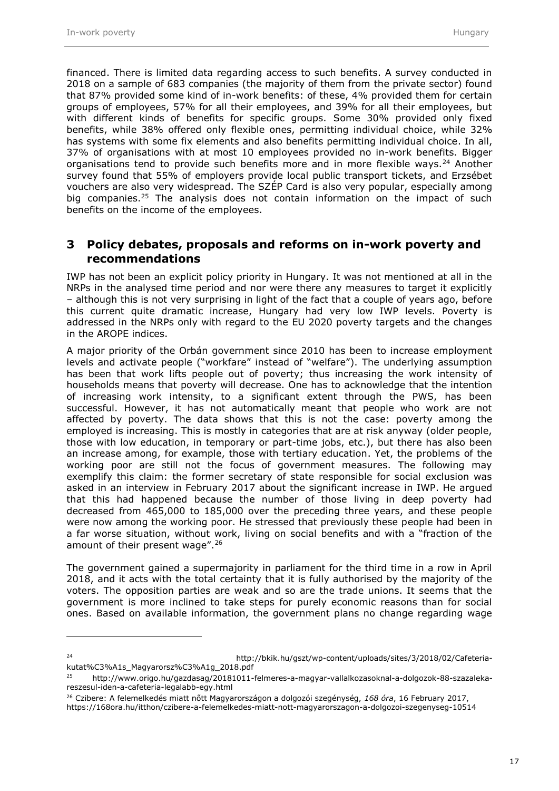financed. There is limited data regarding access to such benefits. A survey conducted in 2018 on a sample of 683 companies (the majority of them from the private sector) found that 87% provided some kind of in-work benefits: of these, 4% provided them for certain groups of employees, 57% for all their employees, and 39% for all their employees, but with different kinds of benefits for specific groups. Some 30% provided only fixed benefits, while 38% offered only flexible ones, permitting individual choice, while 32% has systems with some fix elements and also benefits permitting individual choice. In all, 37% of organisations with at most 10 employees provided no in-work benefits. Bigger organisations tend to provide such benefits more and in more flexible ways. $24$  Another survey found that 55% of employers provide local public transport tickets, and Erzsébet vouchers are also very widespread. The SZÉP Card is also very popular, especially among big companies.<sup>25</sup> The analysis does not contain information on the impact of such benefits on the income of the employees.

#### <span id="page-18-0"></span>**3 Policy debates, proposals and reforms on in-work poverty and recommendations**

IWP has not been an explicit policy priority in Hungary. It was not mentioned at all in the NRPs in the analysed time period and nor were there any measures to target it explicitly – although this is not very surprising in light of the fact that a couple of years ago, before this current quite dramatic increase, Hungary had very low IWP levels. Poverty is addressed in the NRPs only with regard to the EU 2020 poverty targets and the changes in the AROPE indices.

A major priority of the Orbán government since 2010 has been to increase employment levels and activate people ("workfare" instead of "welfare"). The underlying assumption has been that work lifts people out of poverty; thus increasing the work intensity of households means that poverty will decrease. One has to acknowledge that the intention of increasing work intensity, to a significant extent through the PWS, has been successful. However, it has not automatically meant that people who work are not affected by poverty. The data shows that this is not the case: poverty among the employed is increasing. This is mostly in categories that are at risk anyway (older people, those with low education, in temporary or part-time jobs, etc.), but there has also been an increase among, for example, those with tertiary education. Yet, the problems of the working poor are still not the focus of government measures. The following may exemplify this claim: the former secretary of state responsible for social exclusion was asked in an interview in February 2017 about the significant increase in IWP. He argued that this had happened because the number of those living in deep poverty had decreased from 465,000 to 185,000 over the preceding three years, and these people were now among the working poor. He stressed that previously these people had been in a far worse situation, without work, living on social benefits and with a "fraction of the amount of their present wage".<sup>26</sup>

The government gained a supermajority in parliament for the third time in a row in April 2018, and it acts with the total certainty that it is fully authorised by the majority of the voters. The opposition parties are weak and so are the trade unions. It seems that the government is more inclined to take steps for purely economic reasons than for social ones. Based on available information, the government plans no change regarding wage

<sup>24</sup> http://bkik.hu/gszt/wp-content/uploads/sites/3/2018/02/Cafeteriakutat%C3%A1s\_Magyarorsz%C3%A1g\_2018.pdf

<sup>25</sup> http://www.origo.hu/gazdasag/20181011-felmeres-a-magyar-vallalkozasoknal-a-dolgozok-88-szazalekareszesul-iden-a-cafeteria-legalabb-egy.html

<sup>26</sup> Czibere: A felemelkedés miatt nőtt Magyarországon a dolgozói szegénység, *168 óra*, 16 February 2017,

<https://168ora.hu/itthon/czibere-a-felemelkedes-miatt-nott-magyarorszagon-a-dolgozoi-szegenyseg-10514>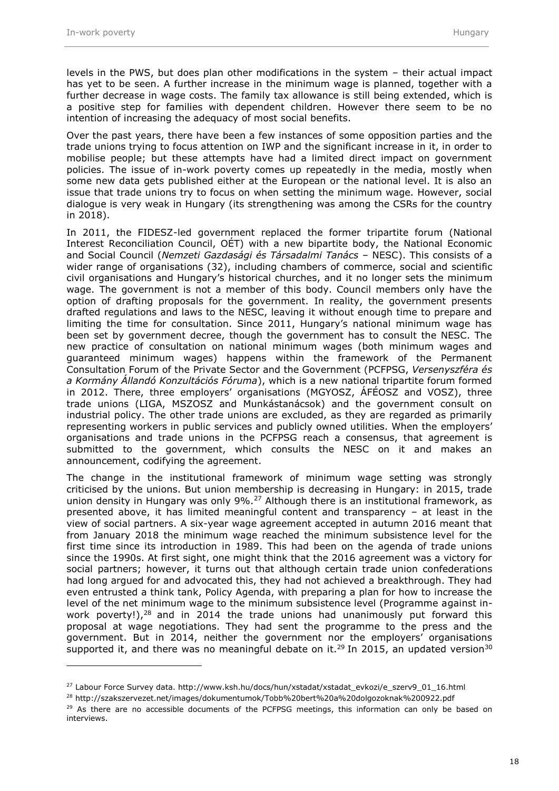levels in the PWS, but does plan other modifications in the system – their actual impact has yet to be seen. A further increase in the minimum wage is planned, together with a further decrease in wage costs. The family tax allowance is still being extended, which is a positive step for families with dependent children. However there seem to be no intention of increasing the adequacy of most social benefits.

Over the past years, there have been a few instances of some opposition parties and the trade unions trying to focus attention on IWP and the significant increase in it, in order to mobilise people; but these attempts have had a limited direct impact on government policies. The issue of in-work poverty comes up repeatedly in the media, mostly when some new data gets published either at the European or the national level. It is also an issue that trade unions try to focus on when setting the minimum wage. However, social dialogue is very weak in Hungary (its strengthening was among the CSRs for the country in 2018).

In 2011, the FIDESZ-led government replaced the former tripartite forum (National Interest Reconciliation Council, OÉT) with a new bipartite body, the National Economic and Social Council (*Nemzeti Gazdasági és Társadalmi Tanács* – NESC). This consists of a wider range of organisations (32), including chambers of commerce, social and scientific civil organisations and Hungary's historical churches, and it no longer sets the minimum wage. The government is not a member of this body. Council members only have the option of drafting proposals for the government. In reality, the government presents drafted regulations and laws to the NESC, leaving it without enough time to prepare and limiting the time for consultation. Since 2011, Hungary's national minimum wage has been set by government decree, though the government has to consult the NESC. The new practice of consultation on national minimum wages (both minimum wages and guaranteed minimum wages) happens within the framework of the Permanent Consultation Forum of the Private Sector and the Government (PCFPSG, *Versenyszféra és a Kormány Állandó Konzultációs Fóruma*), which is a new national tripartite forum formed in 2012. There, three employers' organisations (MGYOSZ, ÁFÉOSZ and VOSZ), three trade unions (LIGA, MSZOSZ and Munkástanácsok) and the government consult on industrial policy. The other trade unions are excluded, as they are regarded as primarily representing workers in public services and publicly owned utilities. When the employers' organisations and trade unions in the PCFPSG reach a consensus, that agreement is submitted to the government, which consults the NESC on it and makes an announcement, codifying the agreement.

The change in the institutional framework of minimum wage setting was strongly criticised by the unions. But union membership is decreasing in Hungary: in 2015, trade union density in Hungary was only 9%.<sup>27</sup> Although there is an institutional framework, as presented above, it has limited meaningful content and transparency – at least in the view of social partners. A six-year wage agreement accepted in autumn 2016 meant that from January 2018 the minimum wage reached the minimum subsistence level for the first time since its introduction in 1989. This had been on the agenda of trade unions since the 1990s. At first sight, one might think that the 2016 agreement was a victory for social partners; however, it turns out that although certain trade union confederations had long argued for and advocated this, they had not achieved a breakthrough. They had even entrusted a think tank, Policy Agenda, with preparing a plan for how to increase the level of the net minimum wage to the minimum subsistence level (Programme against inwork poverty!),<sup>28</sup> and in 2014 the trade unions had unanimously put forward this proposal at wage negotiations. They had sent the programme to the press and the government. But in 2014, neither the government nor the employers' organisations supported it, and there was no meaningful debate on it.<sup>29</sup> In 2015, an updated version<sup>30</sup>

<sup>&</sup>lt;sup>27</sup> Labour Force Survey data. http://www.ksh.hu/docs/hun/xstadat/xstadat\_evkozi/e\_szerv9\_01\_16.html

<sup>28</sup> http://szakszervezet.net/images/dokumentumok/Tobb%20bert%20a%20dolgozoknak%200922.pdf

 $29$  As there are no accessible documents of the PCFPSG meetings, this information can only be based on interviews.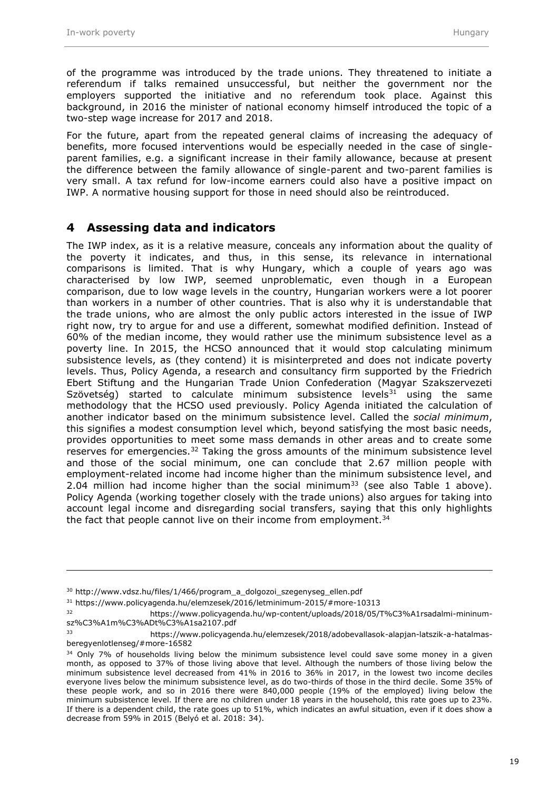of the programme was introduced by the trade unions. They threatened to initiate a referendum if talks remained unsuccessful, but neither the government nor the employers supported the initiative and no referendum took place. Against this background, in 2016 the minister of national economy himself introduced the topic of a two-step wage increase for 2017 and 2018.

For the future, apart from the repeated general claims of increasing the adequacy of benefits, more focused interventions would be especially needed in the case of singleparent families, e.g. a significant increase in their family allowance, because at present the difference between the family allowance of single-parent and two-parent families is very small. A tax refund for low-income earners could also have a positive impact on IWP. A normative housing support for those in need should also be reintroduced.

#### <span id="page-20-0"></span>**4 Assessing data and indicators**

The IWP index, as it is a relative measure, conceals any information about the quality of the poverty it indicates, and thus, in this sense, its relevance in international comparisons is limited. That is why Hungary, which a couple of years ago was characterised by low IWP, seemed unproblematic, even though in a European comparison, due to low wage levels in the country, Hungarian workers were a lot poorer than workers in a number of other countries. That is also why it is understandable that the trade unions, who are almost the only public actors interested in the issue of IWP right now, try to argue for and use a different, somewhat modified definition. Instead of 60% of the median income, they would rather use the minimum subsistence level as a poverty line. In 2015, the HCSO announced that it would stop calculating minimum subsistence levels, as (they contend) it is misinterpreted and does not indicate poverty levels. Thus, Policy Agenda, a research and consultancy firm supported by the Friedrich Ebert Stiftung and the Hungarian Trade Union Confederation (Magyar Szakszervezeti Szövetség) started to calculate minimum subsistence levels $31$  using the same methodology that the HCSO used previously. Policy Agenda initiated the calculation of another indicator based on the minimum subsistence level. Called the *social minimum*, this signifies a modest consumption level which, beyond satisfying the most basic needs, provides opportunities to meet some mass demands in other areas and to create some reserves for emergencies.<sup>32</sup> Taking the gross amounts of the minimum subsistence level and those of the social minimum, one can conclude that 2.67 million people with employment-related income had income higher than the minimum subsistence level, and 2.04 million had income higher than the social minimum<sup>33</sup> (see also Table 1 above). Policy Agenda (working together closely with the trade unions) also argues for taking into account legal income and disregarding social transfers, saying that this only highlights the fact that people cannot live on their income from employment.<sup>34</sup>

<sup>30</sup> http://www.vdsz.hu/files/1/466/program\_a\_dolgozoi\_szegenyseg\_ellen.pdf

<sup>31</sup> https://www.policyagenda.hu/elemzesek/2016/letminimum-2015/#more-10313

<sup>32</sup> https://www.policyagenda.hu/wp-content/uploads/2018/05/T%C3%A1rsadalmi-mininumsz%C3%A1m%C3%ADt%C3%A1sa2107.pdf

<sup>33</sup> https://www.policyagenda.hu/elemzesek/2018/adobevallasok-alapjan-latszik-a-hatalmasberegyenlotlenseg/#more-16582

 $34$  Only 7% of households living below the minimum subsistence level could save some money in a given month, as opposed to 37% of those living above that level. Although the numbers of those living below the minimum subsistence level decreased from 41% in 2016 to 36% in 2017, in the lowest two income deciles everyone lives below the minimum subsistence level, as do two-thirds of those in the third decile. Some 35% of these people work, and so in 2016 there were 840,000 people (19% of the employed) living below the minimum subsistence level. If there are no children under 18 years in the household, this rate goes up to 23%. If there is a dependent child, the rate goes up to 51%, which indicates an awful situation, even if it does show a decrease from 59% in 2015 (Belyó et al. 2018: 34).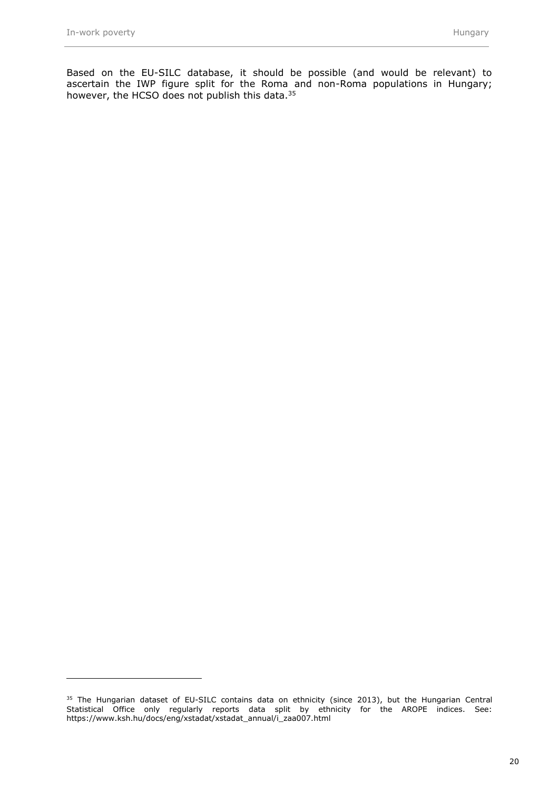Based on the EU-SILC database, it should be possible (and would be relevant) to ascertain the IWP figure split for the Roma and non-Roma populations in Hungary; however, the HCSO does not publish this data.<sup>35</sup>

<sup>&</sup>lt;sup>35</sup> The Hungarian dataset of EU-SILC contains data on ethnicity (since 2013), but the Hungarian Central Statistical Office only regularly reports data split by ethnicity for the AROPE indices. See: https://www.ksh.hu/docs/eng/xstadat/xstadat\_annual/i\_zaa007.html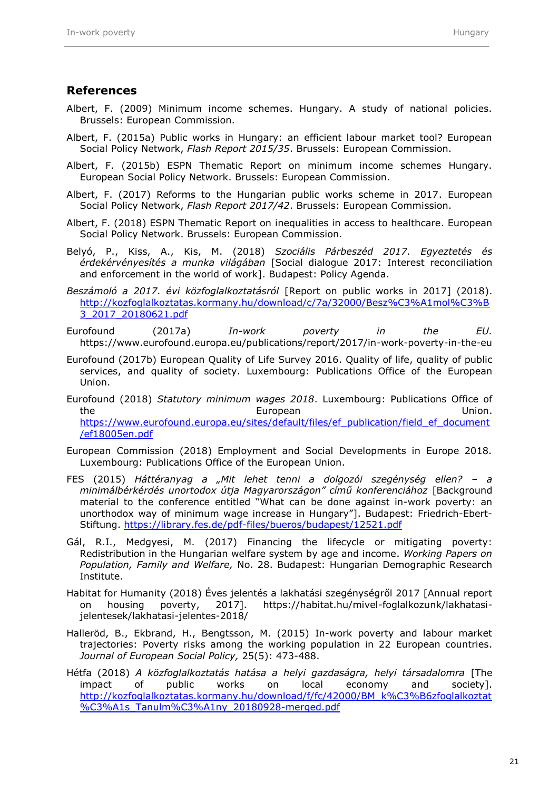#### <span id="page-22-0"></span>**References**

- Albert, F. (2009) Minimum income schemes. Hungary. A study of national policies. Brussels: European Commission.
- Albert, F. (2015a) Public works in Hungary: an efficient labour market tool? European Social Policy Network, *Flash Report 2015/35*. Brussels: European Commission.
- Albert, F. (2015b) ESPN Thematic Report on minimum income schemes Hungary. European Social Policy Network. Brussels: European Commission.
- Albert, F. (2017) Reforms to the Hungarian public works scheme in 2017. European Social Policy Network, *Flash Report 2017/42*. Brussels: European Commission.
- Albert, F. (2018) ESPN Thematic Report on inequalities in access to healthcare. European Social Policy Network. Brussels: European Commission.
- Belyó, P., Kiss, A., Kis, M. (2018) *Szociális Párbeszéd 2017. Egyeztetés és érdekérvényesítés a munka világában* [Social dialogue 2017: Interest reconciliation and enforcement in the world of work]. Budapest: Policy Agenda.
- *Beszámoló a 2017. évi közfoglalkoztatásról* [Report on public works in 2017] (2018). [http://kozfoglalkoztatas.kormany.hu/download/c/7a/32000/Besz%C3%A1mol%C3%B](http://kozfoglalkoztatas.kormany.hu/download/c/7a/32000/Besz%C3%A1mol%C3%B3_2017_20180621.pdf) [3\\_2017\\_20180621.pdf](http://kozfoglalkoztatas.kormany.hu/download/c/7a/32000/Besz%C3%A1mol%C3%B3_2017_20180621.pdf)
- Eurofound (2017a) *In-work poverty in the EU.* <https://www.eurofound.europa.eu/publications/report/2017/in-work-poverty-in-the-eu>
- Eurofound (2017b) European Quality of Life Survey 2016. Quality of life, quality of public services, and quality of society. Luxembourg: Publications Office of the European Union.
- Eurofound (2018) *Statutory minimum wages 2018*. Luxembourg: Publications Office of the European European Union. [https://www.eurofound.europa.eu/sites/default/files/ef\\_publication/field\\_ef\\_document](https://www.eurofound.europa.eu/sites/default/files/ef_publication/field_ef_document/ef18005en.pdf) [/ef18005en.pdf](https://www.eurofound.europa.eu/sites/default/files/ef_publication/field_ef_document/ef18005en.pdf)
- European Commission (2018) Employment and Social Developments in Europe 2018. Luxembourg: Publications Office of the European Union.
- FES (2015) *Háttéranyag a "Mit lehet tenni a dolgozói szegénység ellen? – a minimálbérkérdés unortodox útja Magyarországon" című konferenciához* [Background material to the conference entitled "What can be done against in-work poverty: an unorthodox way of minimum wage increase in Hungary"]. Budapest: Friedrich-Ebert-Stiftung. <https://library.fes.de/pdf-files/bueros/budapest/12521.pdf>
- Gál, R.I., Medgyesi, M. (2017) Financing the lifecycle or mitigating poverty: Redistribution in the Hungarian welfare system by age and income. *Working Papers on Population, Family and Welfare,* No. 28. Budapest: Hungarian Demographic Research Institute.
- Habitat for Humanity (2018) Éves jelentés a lakhatási szegénységről 2017 [Annual report on housing poverty, 2017]. https://habitat.hu/mivel-foglalkozunk/lakhatasijelentesek/lakhatasi-jelentes-2018/
- Halleröd, B., Ekbrand, H., Bengtsson, M. (2015) In-work poverty and labour market trajectories: Poverty risks among the working population in 22 European countries. *Journal of European Social Policy,* 25(5): 473-488.
- Hétfa (2018) *A közfoglalkoztatás hatása a helyi gazdaságra, helyi társadalomra* [The impact of public works on local economy and society]. [http://kozfoglalkoztatas.kormany.hu/download/f/fc/42000/BM\\_k%C3%B6zfoglalkoztat](http://kozfoglalkoztatas.kormany.hu/download/f/fc/42000/BM_k%C3%B6zfoglalkoztat%C3%A1s_Tanulm%C3%A1ny_20180928-merged.pdf) [%C3%A1s\\_Tanulm%C3%A1ny\\_20180928-merged.pdf](http://kozfoglalkoztatas.kormany.hu/download/f/fc/42000/BM_k%C3%B6zfoglalkoztat%C3%A1s_Tanulm%C3%A1ny_20180928-merged.pdf)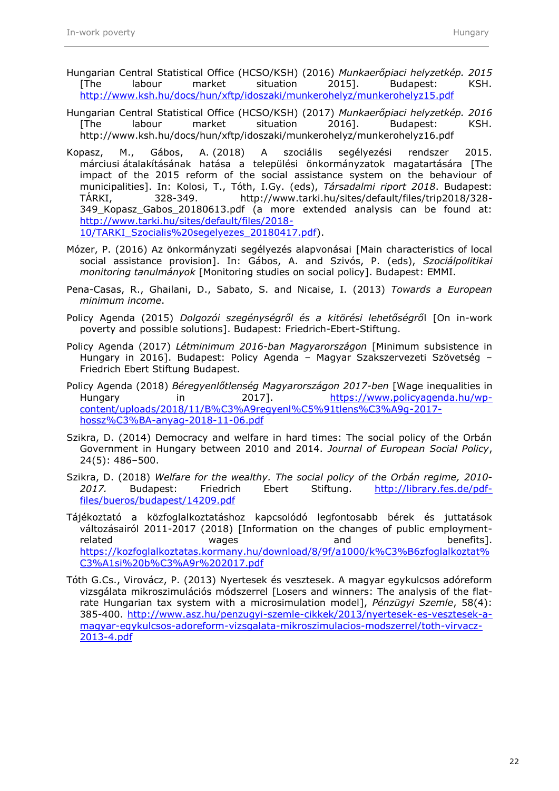- Hungarian Central Statistical Office (HCSO/KSH) (2016) *Munkaerőpiaci helyzetkép. 2015* [The labour market situation 2015]. Budapest: KSH. <http://www.ksh.hu/docs/hun/xftp/idoszaki/munkerohelyz/munkerohelyz15.pdf>
- Hungarian Central Statistical Office (HCSO/KSH) (2017) *Munkaerőpiaci helyzetkép. 2016*  [The labour market situation 2016]. Budapest: KSH. <http://www.ksh.hu/docs/hun/xftp/idoszaki/munkerohelyz/munkerohelyz16.pdf>
- Kopasz, M., Gábos, A. (2018) A szociális segélyezési rendszer 2015. márciusi átalakításának hatása a települési önkormányzatok magatartására [The impact of the 2015 reform of the social assistance system on the behaviour of municipalities]. In: Kolosi, T., Tóth, I.Gy. (eds), *Társadalmi riport 2018*. Budapest: TÁRKI, 328-349. http://www.tarki.hu/sites/default/files/trip2018/328- 349\_Kopasz\_Gabos\_20180613.pdf (a more extended analysis can be found at: [http://www.tarki.hu/sites/default/files/2018-](http://www.tarki.hu/sites/default/files/2018-10/TARKI_Szocialis%20segelyezes_20180417.pdf) [10/TARKI\\_Szocialis%20segelyezes\\_20180417.pdf\)](http://www.tarki.hu/sites/default/files/2018-10/TARKI_Szocialis%20segelyezes_20180417.pdf).
- Mózer, P. (2016) Az önkormányzati segélyezés alapvonásai [Main characteristics of local social assistance provision]. In: Gábos, A. and Szivós, P. (eds), *Szociálpolitikai monitoring tanulmányok* [Monitoring studies on social policy]. Budapest: EMMI.
- Pena-Casas, R., Ghailani, D., Sabato, S. and Nicaise, I. (2013) *Towards a European minimum income*.
- Policy Agenda (2015) *Dolgozói szegénységről és a kitörési lehetőségrő*l [On in-work poverty and possible solutions]. Budapest: Friedrich-Ebert-Stiftung.
- Policy Agenda (2017) *Létminimum 2016-ban Magyarországon* [Minimum subsistence in Hungary in 2016]. Budapest: Policy Agenda – Magyar Szakszervezeti Szövetség – Friedrich Ebert Stiftung Budapest.
- Policy Agenda (2018) *Béregyenlőtlenség Magyarországon 2017-ben* [Wage inequalities in Hungary in 2017]. [https://www.policyagenda.hu/wp](https://www.policyagenda.hu/wp-content/uploads/2018/11/B%C3%A9regyenl%C5%91tlens%C3%A9g-2017-hossz%C3%BA-anyag-2018-11-06.pdf)[content/uploads/2018/11/B%C3%A9regyenl%C5%91tlens%C3%A9g-2017](https://www.policyagenda.hu/wp-content/uploads/2018/11/B%C3%A9regyenl%C5%91tlens%C3%A9g-2017-hossz%C3%BA-anyag-2018-11-06.pdf) [hossz%C3%BA-anyag-2018-11-06.pdf](https://www.policyagenda.hu/wp-content/uploads/2018/11/B%C3%A9regyenl%C5%91tlens%C3%A9g-2017-hossz%C3%BA-anyag-2018-11-06.pdf)
- Szikra, D. (2014) Democracy and welfare in hard times: The social policy of the Orbán Government in Hungary between 2010 and 2014. *Journal of European Social Policy*, 24(5): 486–500.
- Szikra, D. (2018) *Welfare for the wealthy. The social policy of the Orbán regime, 2010* 2017. Budapest: Friedrich Ebert Stiftung. [http://library.fes.de/pdf](http://library.fes.de/pdf-files/bueros/budapest/14209.pdf)[files/bueros/budapest/14209.pdf](http://library.fes.de/pdf-files/bueros/budapest/14209.pdf)
- Tájékoztató a közfoglalkoztatáshoz kapcsolódó legfontosabb bérek és juttatások változásairól 2011-2017 (2018) [Information on the changes of public employmentrelated **benefits**]. **wages** and and benefits]. [https://kozfoglalkoztatas.kormany.hu/download/8/9f/a1000/k%C3%B6zfoglalkoztat%](https://kozfoglalkoztatas.kormany.hu/download/8/9f/a1000/k%C3%B6zfoglalkoztat%C3%A1si%20b%C3%A9r%202017.pdf) [C3%A1si%20b%C3%A9r%202017.pdf](https://kozfoglalkoztatas.kormany.hu/download/8/9f/a1000/k%C3%B6zfoglalkoztat%C3%A1si%20b%C3%A9r%202017.pdf)
- Tóth G.Cs., Virovácz, P. (2013) Nyertesek és vesztesek. A magyar egykulcsos adóreform vizsgálata mikroszimulációs módszerrel [Losers and winners: The analysis of the flatrate Hungarian tax system with a microsimulation model], *Pénzügyi Szemle*, 58(4): 385-400. [http://www.asz.hu/penzugyi-szemle-cikkek/2013/nyertesek-es-vesztesek-a](http://www.asz.hu/penzugyi-szemle-cikkek/2013/nyertesek-es-vesztesek-a-magyar-egykulcsos-adoreform-vizsgalata-mikroszimulacios-modszerrel/toth-virvacz-2013-4.pdf)[magyar-egykulcsos-adoreform-vizsgalata-mikroszimulacios-modszerrel/toth-virvacz-](http://www.asz.hu/penzugyi-szemle-cikkek/2013/nyertesek-es-vesztesek-a-magyar-egykulcsos-adoreform-vizsgalata-mikroszimulacios-modszerrel/toth-virvacz-2013-4.pdf)[2013-4.pdf](http://www.asz.hu/penzugyi-szemle-cikkek/2013/nyertesek-es-vesztesek-a-magyar-egykulcsos-adoreform-vizsgalata-mikroszimulacios-modszerrel/toth-virvacz-2013-4.pdf)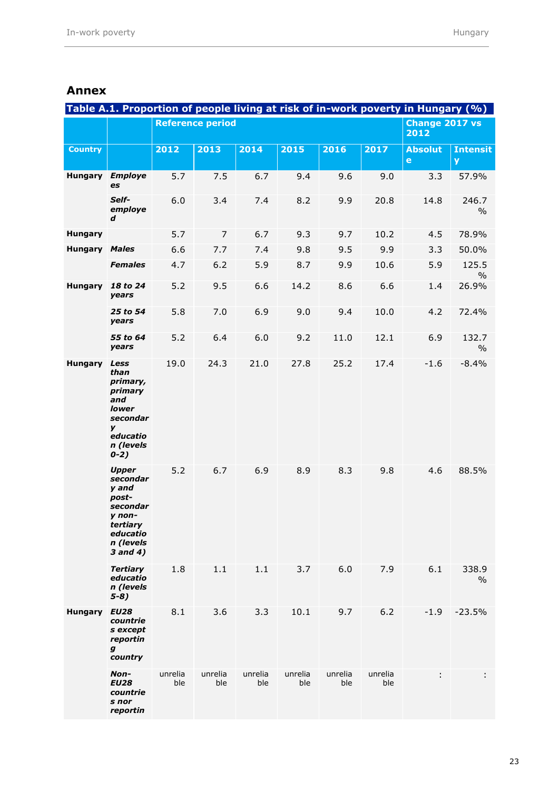|                      |                                                                                                                   |                         |                        |                |                |                |                | Table A.1. Proportion of people living at risk of in-work poverty in Hungary (%) |                        |
|----------------------|-------------------------------------------------------------------------------------------------------------------|-------------------------|------------------------|----------------|----------------|----------------|----------------|----------------------------------------------------------------------------------|------------------------|
|                      |                                                                                                                   | <b>Reference period</b> | Change 2017 vs<br>2012 |                |                |                |                |                                                                                  |                        |
| <b>Country</b>       |                                                                                                                   | 2012                    | 2013                   | 2014           | 2015           | 2016           | 2017           | <b>Absolut</b><br>$\mathbf e$                                                    | <b>Intensit</b><br>y   |
| <b>Hungary</b>       | <b>Employe</b><br>es                                                                                              | 5.7                     | 7.5                    | 6.7            | 9.4            | 9.6            | 9.0            | 3.3                                                                              | 57.9%                  |
|                      | Self-<br>employe<br>d                                                                                             | 6.0                     | 3.4                    | 7.4            | 8.2            | 9.9            | 20.8           | 14.8                                                                             | 246.7<br>$\frac{0}{0}$ |
| <b>Hungary</b>       |                                                                                                                   | 5.7                     | $\overline{7}$         | 6.7            | 9.3            | 9.7            | 10.2           | 4.5                                                                              | 78.9%                  |
| <b>Hungary Males</b> |                                                                                                                   | 6.6                     | 7.7                    | 7.4            | 9.8            | 9.5            | 9.9            | 3.3                                                                              | 50.0%                  |
|                      | <b>Females</b>                                                                                                    | 4.7                     | 6.2                    | 5.9            | 8.7            | 9.9            | 10.6           | 5.9                                                                              | 125.5<br>$\frac{0}{0}$ |
| <b>Hungary</b>       | 18 to 24<br>years                                                                                                 | 5.2                     | 9.5                    | 6.6            | 14.2           | 8.6            | 6.6            | 1.4                                                                              | 26.9%                  |
|                      | 25 to 54<br>years                                                                                                 | 5.8                     | 7.0                    | 6.9            | 9.0            | 9.4            | 10.0           | 4.2                                                                              | 72.4%                  |
|                      | 55 to 64<br>years                                                                                                 | 5.2                     | 6.4                    | 6.0            | 9.2            | 11.0           | 12.1           | 6.9                                                                              | 132.7<br>$\frac{0}{0}$ |
| <b>Hungary</b>       | Less<br>than<br>primary,<br>primary<br>and<br><b>lower</b><br>secondar<br>y<br>educatio<br>n (levels<br>$0 - 2)$  | 19.0                    | 24.3                   | 21.0           | 27.8           | 25.2           | 17.4           | $-1.6$                                                                           | $-8.4%$                |
|                      | <b>Upper</b><br>secondar<br>y and<br>post-<br>secondar<br>y non-<br>tertiary<br>educatio<br>n (levels<br>3 and 4) | 5.2                     | 6.7                    | 6.9            | 8.9            | 8.3            | 9.8            | 4.6                                                                              | 88.5%                  |
|                      | <b>Tertiary</b><br>educatio<br>n (levels<br>$5-8)$                                                                | 1.8                     | 1.1                    | 1.1            | 3.7            | 6.0            | 7.9            | 6.1                                                                              | 338.9<br>$\%$          |
| <b>Hungary</b>       | <b>EU28</b><br>countrie<br>s except<br>reportin<br>g<br>country                                                   | 8.1                     | 3.6                    | 3.3            | 10.1           | 9.7            | 6.2            | $-1.9$                                                                           | $-23.5%$               |
|                      | Non-<br><b>EU28</b><br>countrie<br>s nor<br>reportin                                                              | unrelia<br>ble          | unrelia<br>ble         | unrelia<br>ble | unrelia<br>ble | unrelia<br>ble | unrelia<br>ble | ÷                                                                                | ÷                      |

#### <span id="page-24-0"></span>**Annex**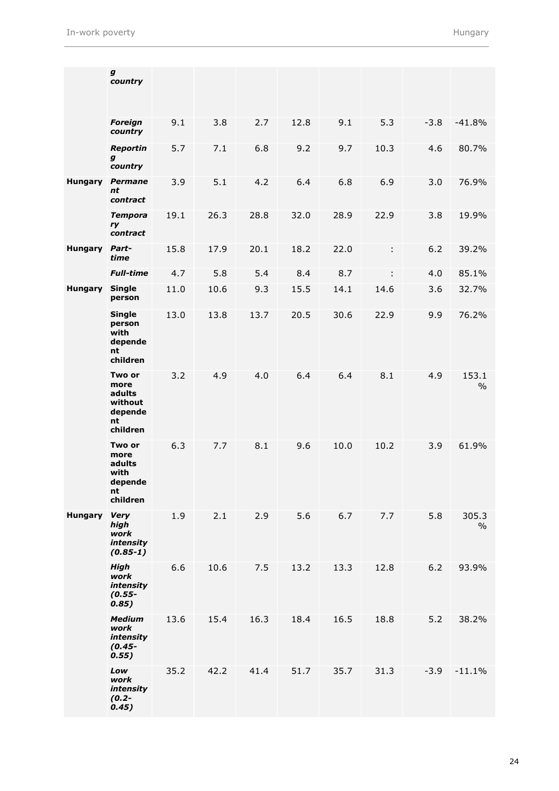|                | g<br>country                                                     |      |      |      |      |      |      |        |                        |
|----------------|------------------------------------------------------------------|------|------|------|------|------|------|--------|------------------------|
|                | <b>Foreign</b><br>country                                        | 9.1  | 3.8  | 2.7  | 12.8 | 9.1  | 5.3  | $-3.8$ | $-41.8%$               |
|                | <b>Reportin</b><br>g<br>country                                  | 5.7  | 7.1  | 6.8  | 9.2  | 9.7  | 10.3 | 4.6    | 80.7%                  |
| <b>Hungary</b> | <b>Permane</b><br>nt<br>contract                                 | 3.9  | 5.1  | 4.2  | 6.4  | 6.8  | 6.9  | 3.0    | 76.9%                  |
|                | <b>Tempora</b><br>ry<br>contract                                 | 19.1 | 26.3 | 28.8 | 32.0 | 28.9 | 22.9 | 3.8    | 19.9%                  |
| <b>Hungary</b> | Part-<br>time                                                    | 15.8 | 17.9 | 20.1 | 18.2 | 22.0 | ÷    | $6.2$  | 39.2%                  |
|                | <b>Full-time</b>                                                 | 4.7  | 5.8  | 5.4  | 8.4  | 8.7  | ÷    | 4.0    | 85.1%                  |
| <b>Hungary</b> | <b>Single</b><br>person                                          | 11.0 | 10.6 | 9.3  | 15.5 | 14.1 | 14.6 | 3.6    | 32.7%                  |
|                | <b>Single</b><br>person<br>with<br>depende<br>nt<br>children     | 13.0 | 13.8 | 13.7 | 20.5 | 30.6 | 22.9 | 9.9    | 76.2%                  |
|                | Two or<br>more<br>adults<br>without<br>depende<br>nt<br>children | 3.2  | 4.9  | 4.0  | 6.4  | 6.4  | 8.1  | 4.9    | 153.1<br>$\%$          |
|                | Two or<br>more<br>adults<br>with<br>depende<br>nt<br>children    | 6.3  | 7.7  | 8.1  | 9.6  | 10.0 | 10.2 | 3.9    | 61.9%                  |
| <b>Hungary</b> | <b>Very</b><br>high<br>work<br>intensity<br>$(0.85-1)$           | 1.9  | 2.1  | 2.9  | 5.6  | 6.7  | 7.7  | 5.8    | 305.3<br>$\frac{0}{0}$ |
|                | <b>High</b><br>work<br>intensity<br>$(0.55 -$<br>0.85)           | 6.6  | 10.6 | 7.5  | 13.2 | 13.3 | 12.8 | 6.2    | 93.9%                  |
|                | <b>Medium</b><br>work<br><i>intensity</i><br>$(0.45 -$<br>0.55)  | 13.6 | 15.4 | 16.3 | 18.4 | 16.5 | 18.8 | 5.2    | 38.2%                  |
|                | Low<br>work<br><i>intensity</i><br>$(0.2 -$<br>0.45)             | 35.2 | 42.2 | 41.4 | 51.7 | 35.7 | 31.3 | $-3.9$ | $-11.1%$               |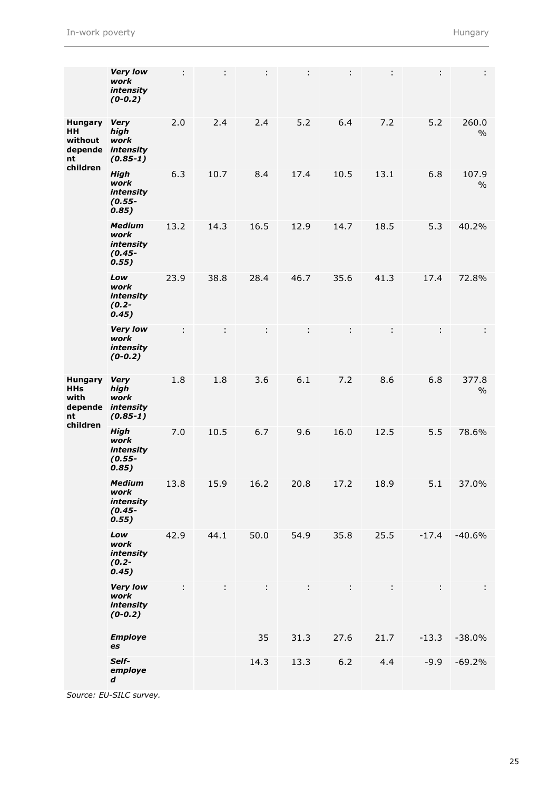|                                                                      | <b>Very low</b><br>work<br>intensity<br>$(0-0.2)$              | ÷    |      | ÷    |      | ÷    |      | ÷       | ÷.            |
|----------------------------------------------------------------------|----------------------------------------------------------------|------|------|------|------|------|------|---------|---------------|
| <b>Hungary</b><br>HН<br>without<br>nt<br>children                    | <b>Very</b><br>high<br>work<br>depende intensity<br>$(0.85-1)$ | 2.0  | 2.4  | 2.4  | 5.2  | 6.4  | 7.2  | 5.2     | 260.0<br>$\%$ |
|                                                                      | <b>High</b><br>work<br>intensity<br>$(0.55 -$<br>0.85)         | 6.3  | 10.7 | 8.4  | 17.4 | 10.5 | 13.1 | 6.8     | 107.9<br>$\%$ |
|                                                                      | <b>Medium</b><br>work<br>intensity<br>$(0.45 -$<br>0.55)       | 13.2 | 14.3 | 16.5 | 12.9 | 14.7 | 18.5 | 5.3     | 40.2%         |
|                                                                      | Low<br>work<br>intensity<br>$(0.2 -$<br>0.45)                  | 23.9 | 38.8 | 28.4 | 46.7 | 35.6 | 41.3 | 17.4    | 72.8%         |
|                                                                      | <b>Very low</b><br>work<br>intensity<br>$(0-0.2)$              | t    |      |      |      |      |      |         |               |
| <b>Hungary</b><br>HHs<br>with<br>depende intensity<br>nt<br>children | <b>Very</b><br>high<br>work<br>$(0.85-1)$                      | 1.8  | 1.8  | 3.6  | 6.1  | 7.2  | 8.6  | 6.8     | 377.8<br>$\%$ |
|                                                                      | <b>High</b><br>work<br>intensity<br>$(0.55 -$<br>0.85)         | 7.0  | 10.5 | 6.7  | 9.6  | 16.0 | 12.5 | 5.5     | 78.6%         |
|                                                                      | <b>Medium</b><br>work<br>intensity<br>$(0.45 -$<br>0.55)       | 13.8 | 15.9 | 16.2 | 20.8 | 17.2 | 18.9 | 5.1     | 37.0%         |
|                                                                      | Low<br>work<br>intensity<br>$(0.2 -$<br>0.45)                  | 42.9 | 44.1 | 50.0 | 54.9 | 35.8 | 25.5 | $-17.4$ | $-40.6%$      |
|                                                                      | <b>Very low</b><br>work<br><i>intensity</i><br>$(0-0.2)$       | ÷    | ÷    | ÷    | ÷    | ÷    | ÷    |         | ÷             |
|                                                                      | <b>Employe</b><br>es                                           |      |      | 35   | 31.3 | 27.6 | 21.7 | $-13.3$ | $-38.0%$      |
|                                                                      | Self-<br>employe<br>d                                          |      |      | 14.3 | 13.3 | 6.2  | 4.4  | $-9.9$  | $-69.2%$      |

*Source: EU -SILC survey .*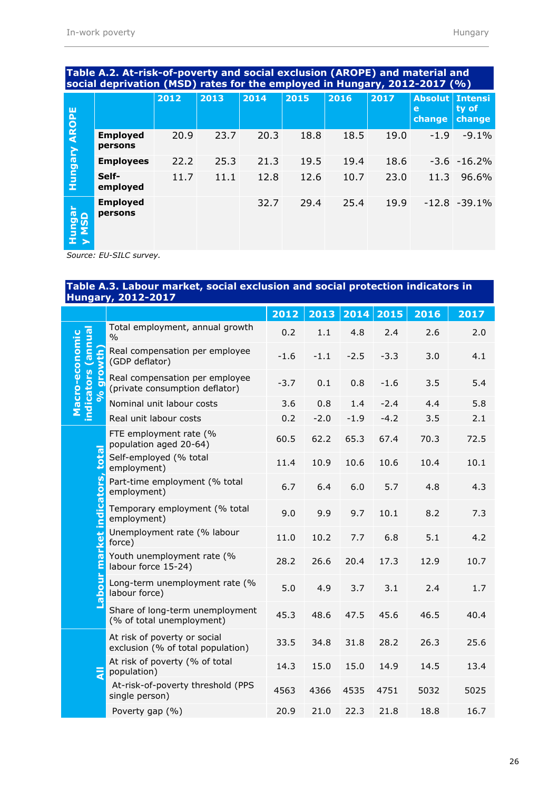|                                  |                            | 2012 | 2013 | 2014 | 2015 | 2016 | 2017 | <b>Absolut Intensi</b><br>e<br>change | ty of<br>change |
|----------------------------------|----------------------------|------|------|------|------|------|------|---------------------------------------|-----------------|
| <b>Hungary AROPE</b>             | <b>Employed</b><br>persons | 20.9 | 23.7 | 20.3 | 18.8 | 18.5 | 19.0 | $-1.9$                                | $-9.1%$         |
|                                  | <b>Employees</b>           | 22.2 | 25.3 | 21.3 | 19.5 | 19.4 | 18.6 |                                       | $-3.6 - 16.2%$  |
|                                  | Self-<br>employed          | 11.7 | 11.1 | 12.8 | 12.6 | 10.7 | 23.0 | 11.3                                  | 96.6%           |
| ungar<br>MSD<br>$\bar{I}$ $\geq$ | <b>Employed</b><br>persons |      |      | 32.7 | 29.4 | 25.4 | 19.9 |                                       | $-12.8 - 39.1%$ |
|                                  | -------                    |      |      |      |      |      |      |                                       |                 |

#### **Table A.2. At-risk-of-poverty and social exclusion (AROPE) and material and social deprivation (MSD) rates for the employed in Hungary, 2012-2017 (%)**

*Source: EU-SILC survey.*

#### **Table A.3. Labour market, social exclusion and social protection indicators in Hungary, 2012-2017**

|                                                                                                                                                   |      | 2017 |
|---------------------------------------------------------------------------------------------------------------------------------------------------|------|------|
| Total employment, annual growth<br>0.2<br>1.1<br>4.8<br>2.4<br>$\frac{0}{0}$                                                                      | 2.6  | 2.0  |
| indicators (annual<br>Macro-economic<br><b>Growth</b><br>Real compensation per employee<br>$-1.6$<br>$-1.1$<br>$-2.5$<br>$-3.3$<br>(GDP deflator) | 3.0  | 4.1  |
| Real compensation per employee<br>$-3.7$<br>0.1<br>0.8<br>$-1.6$<br>(private consumption deflator)<br>96                                          | 3.5  | 5.4  |
| Nominal unit labour costs<br>3.6<br>0.8<br>1.4<br>$-2.4$                                                                                          | 4.4  | 5.8  |
| 0.2<br>$-4.2$<br>Real unit labour costs<br>$-2.0$<br>$-1.9$                                                                                       | 3.5  | 2.1  |
| FTE employment rate (%<br>60.5<br>62.2<br>65.3<br>67.4<br>population aged 20-64)                                                                  | 70.3 | 72.5 |
| <b>total</b><br>Self-employed (% total<br>11.4<br>10.9<br>10.6<br>10.6<br>employment)                                                             | 10.4 | 10.1 |
| Part-time employment (% total<br>6.7<br>6.4<br>6.0<br>5.7<br>employment)                                                                          | 4.8  | 4.3  |
| market indicators,<br>Temporary employment (% total<br>9.0<br>9.9<br>9.7<br>10.1<br>employment)                                                   | 8.2  | 7.3  |
| Unemployment rate (% labour<br>11.0<br>10.2<br>7.7<br>6.8<br>force)                                                                               | 5.1  | 4.2  |
| Youth unemployment rate (%<br>28.2<br>26.6<br>20.4<br>17.3<br>labour force 15-24)                                                                 | 12.9 | 10.7 |
| <u>abour</u><br>Long-term unemployment rate (%<br>5.0<br>4.9<br>3.7<br>3.1<br>labour force)                                                       | 2.4  | 1.7  |
| Share of long-term unemployment<br>45.3<br>48.6<br>47.5<br>45.6<br>(% of total unemployment)                                                      | 46.5 | 40.4 |
| At risk of poverty or social<br>28.2<br>33.5<br>34.8<br>31.8<br>exclusion (% of total population)                                                 | 26.3 | 25.6 |
| At risk of poverty (% of total<br>14.3<br>15.0<br>15.0<br>14.9<br>듷<br>population)                                                                | 14.5 | 13.4 |
| At-risk-of-poverty threshold (PPS<br>4366<br>4535<br>4563<br>4751<br>single person)                                                               | 5032 | 5025 |
| Poverty gap (%)<br>20.9<br>21.0<br>22.3<br>21.8                                                                                                   | 18.8 | 16.7 |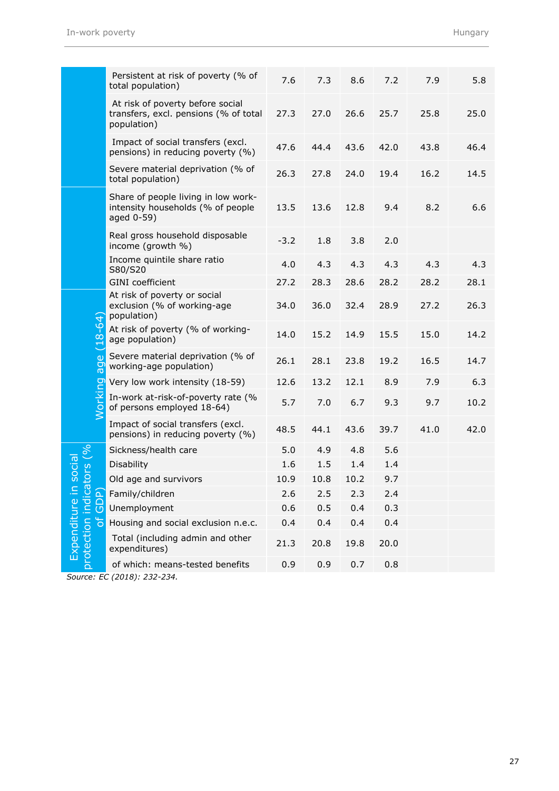|                              | Persistent at risk of poverty (% of<br>total population)                                 | 7.6    | 7.3  | 8.6  | 7.2  | 7.9  | 5.8  |
|------------------------------|------------------------------------------------------------------------------------------|--------|------|------|------|------|------|
|                              | At risk of poverty before social<br>transfers, excl. pensions (% of total<br>population) | 27.3   | 27.0 | 26.6 | 25.7 | 25.8 | 25.0 |
|                              | Impact of social transfers (excl.<br>pensions) in reducing poverty (%)                   | 47.6   | 44.4 | 43.6 | 42.0 | 43.8 | 46.4 |
|                              | Severe material deprivation (% of<br>total population)                                   | 26.3   | 27.8 | 24.0 | 19.4 | 16.2 | 14.5 |
|                              | Share of people living in low work-<br>intensity households (% of people<br>aged 0-59)   | 13.5   | 13.6 | 12.8 | 9.4  | 8.2  | 6.6  |
|                              | Real gross household disposable<br>income (growth %)                                     | $-3.2$ | 1.8  | 3.8  | 2.0  |      |      |
|                              | Income quintile share ratio<br>S80/S20                                                   | 4.0    | 4.3  | 4.3  | 4.3  | 4.3  | 4.3  |
|                              | <b>GINI</b> coefficient                                                                  | 27.2   | 28.3 | 28.6 | 28.2 | 28.2 | 28.1 |
|                              | At risk of poverty or social<br>exclusion (% of working-age<br>population)               | 34.0   | 36.0 | 32.4 | 28.9 | 27.2 | 26.3 |
| $(18 - 64)$                  | At risk of poverty (% of working-<br>age population)                                     | 14.0   | 15.2 | 14.9 | 15.5 | 15.0 | 14.2 |
| age                          | Severe material deprivation (% of<br>working-age population)                             | 26.1   | 28.1 | 23.8 | 19.2 | 16.5 | 14.7 |
| pq                           | Very low work intensity (18-59)                                                          | 12.6   | 13.2 | 12.1 | 8.9  | 7.9  | 6.3  |
| <b>Worki</b>                 | In-work at-risk-of-poverty rate (%<br>of persons employed 18-64)                         | 5.7    | 7.0  | 6.7  | 9.3  | 9.7  | 10.2 |
|                              | Impact of social transfers (excl.<br>pensions) in reducing poverty (%)                   | 48.5   | 44.1 | 43.6 | 39.7 | 41.0 | 42.0 |
| $\sqrt{6}$                   | Sickness/health care                                                                     | 5.0    | 4.9  | 4.8  | 5.6  |      |      |
| social<br>tors               | Disability                                                                               | 1.6    | 1.5  | 1.4  | 1.4  |      |      |
|                              | Old age and survivors                                                                    | 10.9   | 10.8 | 10.2 | 9.7  |      |      |
|                              | Family/children                                                                          | 2.6    | 2.5  | 2.3  | 2.4  |      |      |
| indica<br>GDP)               | Unemployment                                                                             | 0.6    | 0.5  | 0.4  | 0.3  |      |      |
| Ъ                            | Housing and social exclusion n.e.c.                                                      | 0.4    | 0.4  | 0.4  | 0.4  |      |      |
| Expenditure in<br>protection | Total (including admin and other<br>expenditures)                                        | 21.3   | 20.8 | 19.8 | 20.0 |      |      |
|                              | of which: means-tested benefits                                                          | 0.9    | 0.9  | 0.7  | 0.8  |      |      |

*Source: EC (2018): 232-234.*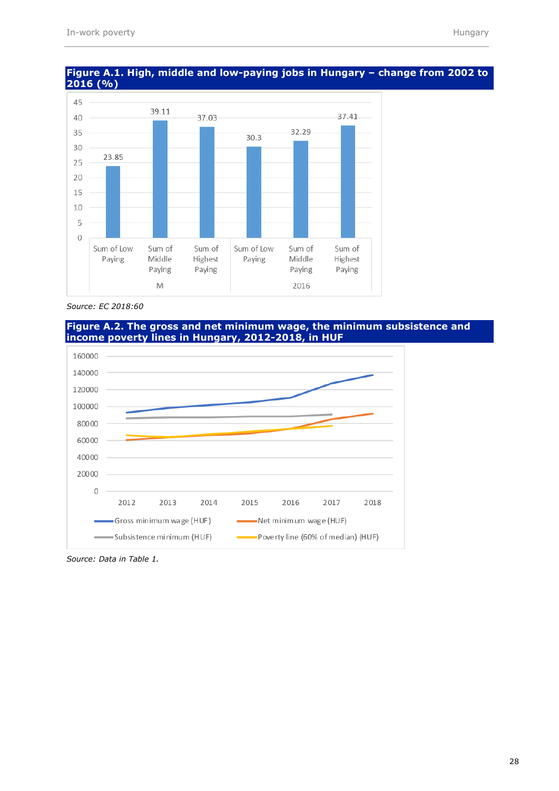

#### **Figure A.1. High, middle and low-paying jobs in Hungary – change from 2002 to 2016 (%)**



#### **Figure A.2. The gross and net minimum wage, the minimum subsistence and income poverty lines in Hungary, 2012-2018, in HUF**



*Source: Data in Table 1.*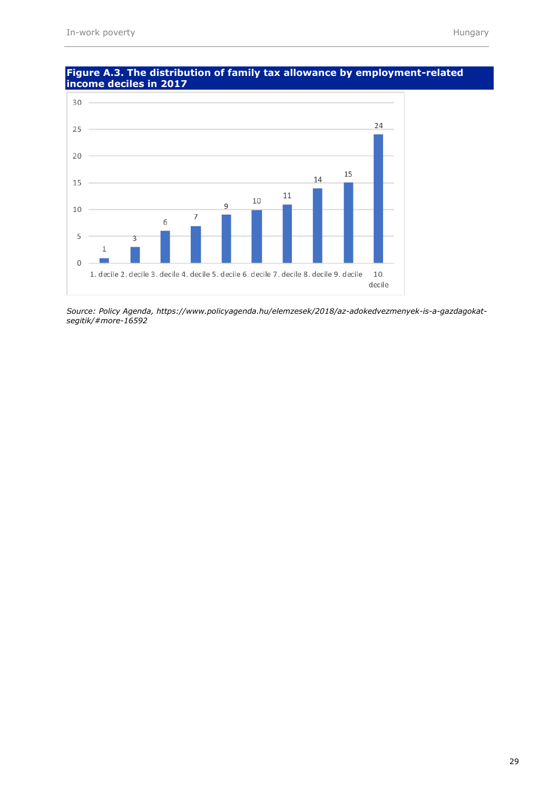

#### **Figure A.3. The distribution of family tax allowance by employment-related income deciles in 2017**

*Source: Policy Agenda, https://www.policyagenda.hu/elemzesek/2018/az-adokedvezmenyek-is-a-gazdagokatsegitik/#more-16592*